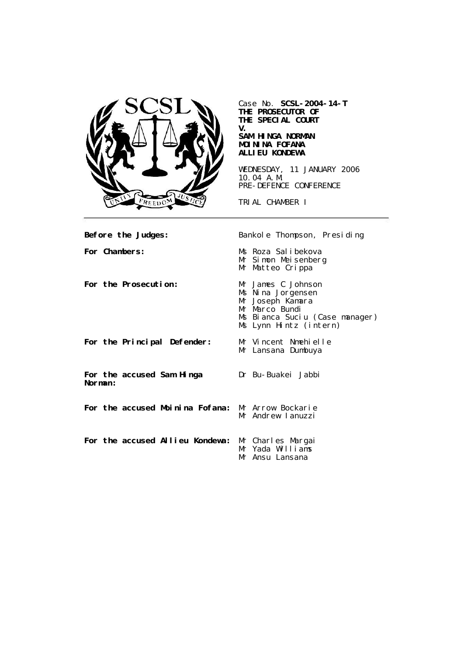

Case No. **SCSL-2004-14-T THE PROSECUTOR OF THE SPECIAL COURT V. SAM HINGA NORMAN MOININA FOFANA ALLIEU KONDEWA**

WEDNESDAY, 11 JANUARY 2006 10.04 A.M. PRE-DEFENCE CONFERENCE

TRIAL CHAMBER I

| Before the Judges:                                | Bankole Thompson, Presiding                                                                                                               |
|---------------------------------------------------|-------------------------------------------------------------------------------------------------------------------------------------------|
| For Chambers:                                     | Ms Roza Salibekova<br>Mr Simon Meisenberg<br>Mr Matteo Crippa                                                                             |
| For the Prosecution:                              | Mr James C Johnson<br>Ms Nina Jorgensen<br>Mr Joseph Kamara<br>Mr Marco Bundi<br>Ms Bianca Suciu (Case manager)<br>Ms Lynn Hintz (intern) |
| For the Principal Defender:                       | Mr Vincent Nmehielle<br>Mr Lansana Dumbuya                                                                                                |
| For the accused Sam Hinga<br>Norman:              | Dr Bu-Buakei Jabbi                                                                                                                        |
| For the accused Moinina Fofana: Mr Arrow Bockarie | Mr Andrew Lanuzzi                                                                                                                         |
| For the accused Allieu Kondewa: Mr Charles Margai | Mr Yada Williams<br>Mr Ansu Lansana                                                                                                       |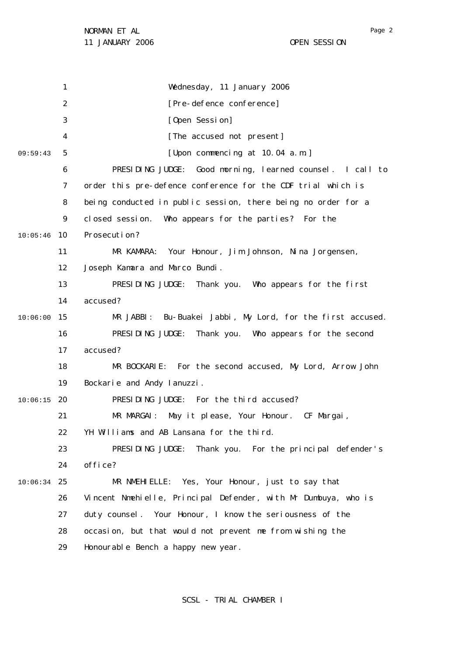1 2 3 4 5 6 7 8  $\mathsf{Q}$ 10 10:05:46 11 12 13 14 15 10:06:00 16 17 18 19 20 10:06:15 21 22 23 24 25 10:06:34 26 27 28 29 09:59:43 Wednesday, 11 January 2006 [Pre-defence conference] [Open Session] [The accused not present] [Upon commencing at 10.04 a.m.] PRESIDING JUDGE: Good morning, learned counsel. I call to order this pre-defence conference for the CDF trial which is being conducted in public session, there being no order for a closed session. Who appears for the parties? For the Prosecution? MR KAMARA: Your Honour, Jim Johnson, Nina Jorgensen, Joseph Kamara and Marco Bundi. PRESIDING JUDGE: Thank you. Who appears for the first accused? MR JABBI: Bu-Buakei Jabbi, My Lord, for the first accused. PRESIDING JUDGE: Thank you. Who appears for the second accused? MR BOCKARIE: For the second accused, My Lord, Arrow John Bockarie and Andy Ianuzzi. PRESIDING JUDGE: For the third accused? MR MARGAI: May it please, Your Honour. CF Margai, YH Williams and AB Lansana for the third. PRESIDING JUDGE: Thank you. For the principal defender's office? MR NMEHIELLE: Yes, Your Honour, just to say that Vincent Nmehielle, Principal Defender, with Mr Dumbuya, who is duty counsel. Your Honour, I know the seriousness of the occasion, but that would not prevent me from wishing the Honourable Bench a happy new year.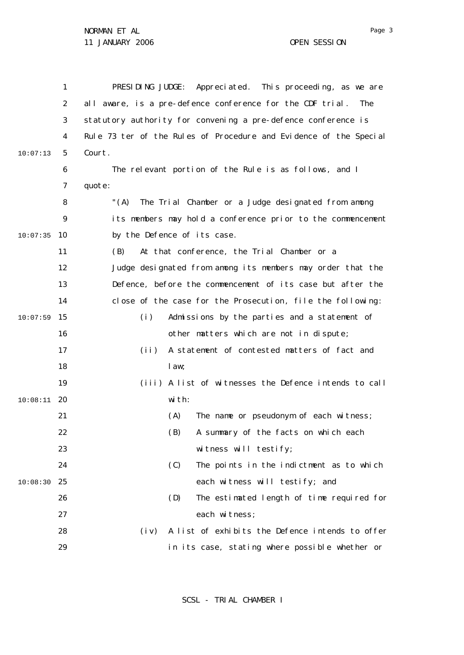|          | 1              | PRESIDING JUDGE:<br>Appreciated. This proceeding, as we are       |
|----------|----------------|-------------------------------------------------------------------|
|          | $\overline{2}$ | all aware, is a pre-defence conference for the CDF trial.<br>The  |
|          | 3              | statutory authority for convening a pre-defence conference is     |
|          | 4              | Rule 73 ter of the Rules of Procedure and Evidence of the Special |
| 10:07:13 | 5              | Court.                                                            |
|          | 6              | The relevant portion of the Rule is as follows, and I             |
|          | 7              | quote:                                                            |
|          | 8              | "(A) The Trial Chamber or a Judge designated from among           |
|          | 9              | its members may hold a conference prior to the commencement       |
| 10:07:35 | 10             | by the Defence of its case.                                       |
|          | 11             | At that conference, the Trial Chamber or a<br>(B)                 |
|          | 12             | Judge designated from among its members may order that the        |
|          | 13             | Defence, before the commencement of its case but after the        |
|          | 14             | close of the case for the Prosecution, file the following:        |
| 10:07:59 | 15             | (i)<br>Admissions by the parties and a statement of               |
|          | 16             | other matters which are not in dispute;                           |
|          | 17             | A statement of contested matters of fact and<br>(i)               |
|          | 18             | law;                                                              |
|          | 19             | (iii) A list of witnesses the Defence intends to call             |
| 10:08:11 | -20            | with:                                                             |
|          | 21             | The name or pseudonym of each witness;<br>(A)                     |
|          | 22             | A summary of the facts on which each<br>(B)                       |
|          | 23             | witness will testify;                                             |
|          | 24             | (C)<br>The points in the indictment as to which                   |
| 10:08:30 | 25             | each witness will testify; and                                    |
|          | 26             | (D)<br>The estimated length of time required for                  |
|          | 27             | each witness;                                                     |
|          | 28             | A list of exhibits the Defence intends to offer<br>$(i \vee)$     |
|          | 29             | in its case, stating where possible whether or                    |

SCSL - TRIAL CHAMBER I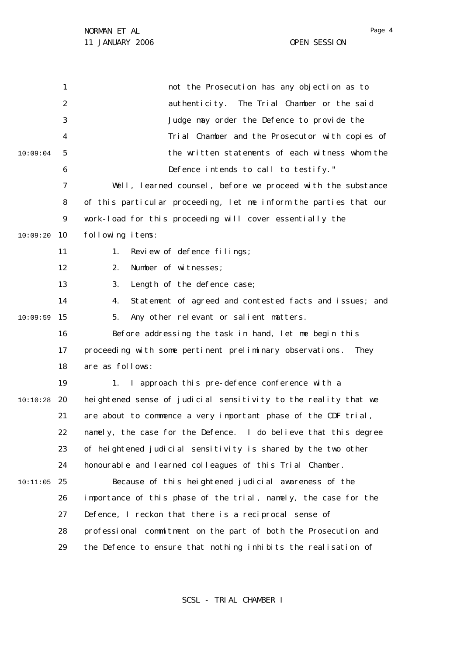1 2 3 4 5 6 7 8  $\mathsf{Q}$ 10 10:09:20 11 12 13 14 15 10:09:59 16 17 18 19 20 21 22 23 24 25 10:11:05 26 27 28 29 10:09:04 10:10:28 not the Prosecution has any objection as to authenticity. The Trial Chamber or the said Judge may order the Defence to provide the Trial Chamber and the Prosecutor with copies of the written statements of each witness whom the Defence intends to call to testify." Well, learned counsel, before we proceed with the substance of this particular proceeding, let me inform the parties that our work-load for this proceeding will cover essentially the following items: 1. Review of defence filings; 2. Number of witnesses; 3. Length of the defence case; 4. Statement of agreed and contested facts and issues; and 5. Any other relevant or salient matters. Before addressing the task in hand, let me begin this proceeding with some pertinent preliminary observations. They are as follows: 1. I approach this pre-defence conference with a heightened sense of judicial sensitivity to the reality that we are about to commence a very important phase of the CDF trial, namely, the case for the Defence. I do believe that this degree of heightened judicial sensitivity is shared by the two other honourable and learned colleagues of this Trial Chamber. Because of this heightened judicial awareness of the importance of this phase of the trial, namely, the case for the Defence, I reckon that there is a reciprocal sense of professional commitment on the part of both the Prosecution and the Defence to ensure that nothing inhibits the realisation of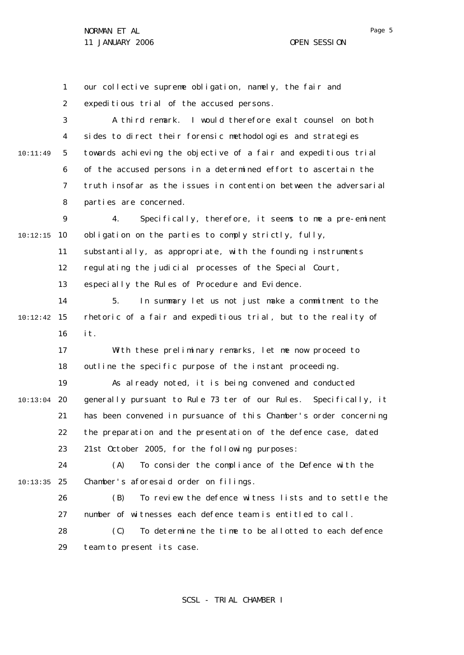1 2 3 4 5 6 7 8  $\mathsf{Q}$ 10 10:12:15 11 12 13 14 15 10:12:42 16 17 18 19 20 10:13:04 21 22 23 24 25 10:13:35 26 27 28 29 10:11:49 our collective supreme obligation, namely, the fair and expeditious trial of the accused persons. A third remark. I would therefore exalt counsel on both sides to direct their forensic methodologies and strategies towards achieving the objective of a fair and expeditious trial of the accused persons in a determined effort to ascertain the truth insofar as the issues in contention between the adversarial parties are concerned. 4. Specifically, therefore, it seems to me a pre-eminent obligation on the parties to comply strictly, fully, substantially, as appropriate, with the founding instruments regulating the judicial processes of the Special Court, especially the Rules of Procedure and Evidence. 5. In summary let us not just make a commitment to the rhetoric of a fair and expeditious trial, but to the reality of it. With these preliminary remarks, let me now proceed to outline the specific purpose of the instant proceeding. As already noted, it is being convened and conducted generally pursuant to Rule 73 *ter* of our Rules. Specifically, it has been convened in pursuance of this Chamber's order concerning the preparation and the presentation of the defence case, dated 21st October 2005, for the following purposes: (A) To consider the compliance of the Defence with the Chamber's aforesaid order on filings. (B) To review the defence witness lists and to settle the number of witnesses each defence team is entitled to call. (C) To determine the time to be allotted to each defence team to present its case.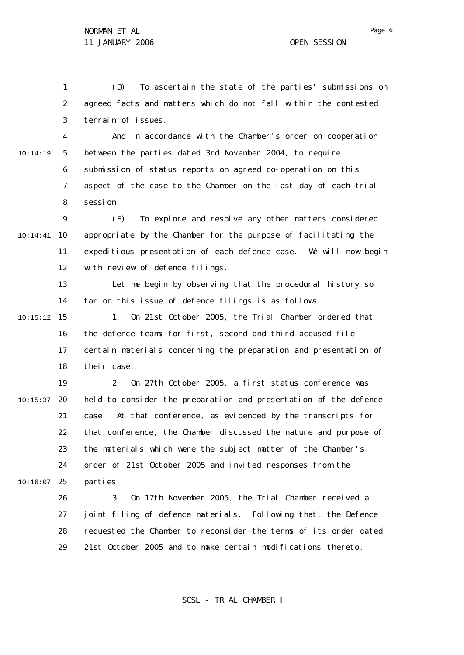1 2 3 (D) To ascertain the state of the parties' submissions on agreed facts and matters which do not fall within the contested terrain of issues.

4 5 6 7 8 10:14:19 And in accordance with the Chamber's order on cooperation between the parties dated 3rd November 2004, to require submission of status reports on agreed co-operation on this aspect of the case to the Chamber on the last day of each trial session.

 $\mathsf{Q}$ 10 10:14:41 11 12 (E) To explore and resolve any other matters considered appropriate by the Chamber for the purpose of facilitating the expeditious presentation of each defence case. We will now begin with review of defence filings.

13 14 Let me begin by observing that the procedural history so far on this issue of defence filings is as follows:

15 10:15:12 16 17 18 1. On 21st October 2005, the Trial Chamber ordered that the defence teams for first, second and third accused file certain materials concerning the preparation and presentation of their case.

19 20 10:15:37 21 22 23  $24$ 25 10:16:07 2. On 27th October 2005, a first status conference was held to consider the preparation and presentation of the defence case. At that conference, as evidenced by the transcripts for that conference, the Chamber discussed the nature and purpose of the materials which were the subject matter of the Chamber's order of 21st October 2005 and invited responses from the parties.

> 26 27 28 29 3. On 17th November 2005, the Trial Chamber received a joint filing of defence materials. Following that, the Defence requested the Chamber to reconsider the terms of its order dated 21st October 2005 and to make certain modifications thereto.

> > SCSL - TRIAL CHAMBER I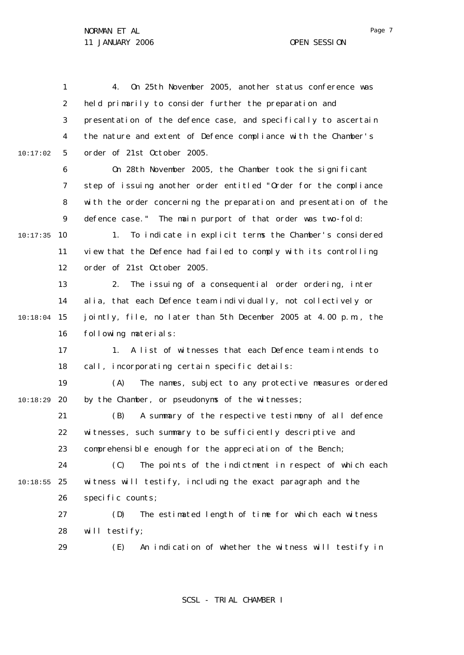1 2 3 4 5 6 7 8  $\mathsf{Q}$ 10 10:17:35 11 12 13 14 15 10:18:04 16 17 18 19 20 21 22 23 24 25 10:18:55 26 27 28 29 10:17:02 10:18:29 4. On 25th November 2005, another status conference was held primarily to consider further the preparation and presentation of the defence case, and specifically to ascertain the nature and extent of Defence compliance with the Chamber's order of 21st October 2005. On 28th November 2005, the Chamber took the significant step of issuing another order entitled "Order for the compliance with the order concerning the preparation and presentation of the defence case." The main purport of that order was two-fold: 1. To indicate in explicit terms the Chamber's considered view that the Defence had failed to comply with its controlling order of 21st October 2005. 2. The issuing of a consequential order ordering, *inter alia*, that each Defence team individually, not collectively or jointly, file, no later than 5th December 2005 at 4.00 p.m., the following materials: 1. A list of witnesses that each Defence team intends to call, incorporating certain specific details: (A) The names, subject to any protective measures ordered by the Chamber, or pseudonyms of the witnesses; (B) A summary of the respective testimony of all defence witnesses, such summary to be sufficiently descriptive and comprehensible enough for the appreciation of the Bench; (C) The points of the indictment in respect of which each witness will testify, including the exact paragraph and the specific counts; (D) The estimated length of time for which each witness will testify; (E) An indication of whether the witness will testify in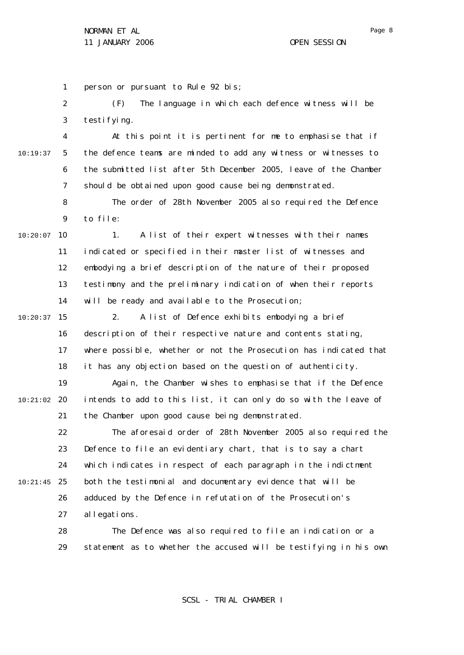1 2 3 4 5 6 7 8  $\mathsf{Q}$ 10 10:20:07 11 12 13 14 15 10:20:37 16 17 18 19 20 10:21:02 21 22 23 24 25 10:21:45 26 27 28 10:19:37 person or pursuant to Rule 92 *bis;* (F) The language in which each defence witness will be testi fving. At this point it is pertinent for me to emphasise that if the defence teams are minded to add any witness or witnesses to the submitted list after 5th December 2005, leave of the Chamber should be obtained upon good cause being demonstrated. The order of 28th November 2005 also required the Defence to file: 1. A list of their expert witnesses with their names indicated or specified in their master list of witnesses and embodying a brief description of the nature of their proposed testimony and the preliminary indication of when their reports will be ready and available to the Prosecution; 2. A list of Defence exhibits embodying a brief description of their respective nature and contents stating, where possible, whether or not the Prosecution has indicated that it has any objection based on the question of authenticity. Again, the Chamber wishes to emphasise that if the Defence intends to add to this list, it can only do so with the leave of the Chamber upon good cause being demonstrated. The aforesaid order of 28th November 2005 also required the Defence to file an evidentiary chart, that is to say a chart which indicates in respect of each paragraph in the indictment both the testimonial and documentary evidence that will be adduced by the Defence in refutation of the Prosecution's allegations. The Defence was also required to file an indication or a

> 29 statement as to whether the accused will be testifying in his own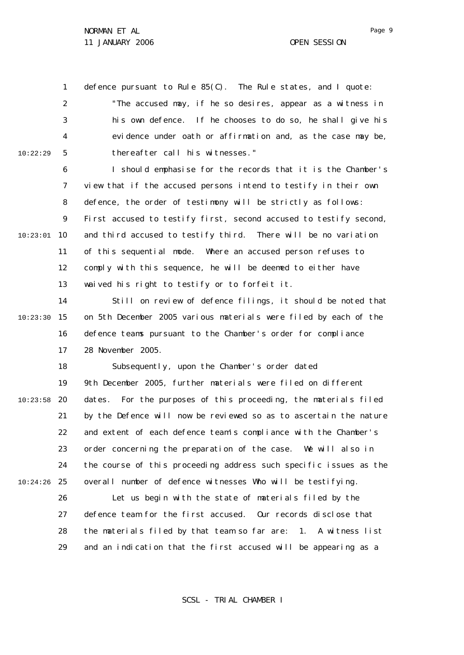10:22:29

1 defence pursuant to Rule 85(C). The Rule states, and I quote:

2 3 4 5 "The accused may, if he so desires, appear as a witness in his own defence. If he chooses to do so, he shall give his evidence under oath or affirmation and, as the case may be, thereafter call his witnesses."

6 7 8  $\mathsf{Q}$ 10 10:23:01 11 12 13 I should emphasise for the records that it is the Chamber's view that if the accused persons intend to testify in their own defence, the order of testimony will be strictly as follows: First accused to testify first, second accused to testify second, and third accused to testify third. There will be no variation of this sequential mode. Where an accused person refuses to comply with this sequence, he will be deemed to either have waived his right to testify or to forfeit it.

14 15 10:23:30 16 17 Still on review of defence filings, it should be noted that on 5th December 2005 various materials were filed by each of the defence teams pursuant to the Chamber's order for compliance 28 November 2005.

18 19 20 10:23:58 21 22 23 24 25 10:24:26 Subsequently, upon the Chamber's order dated 9th December 2005, further materials were filed on different dates. For the purposes of this proceeding, the materials filed by the Defence will now be reviewed so as to ascertain the nature and extent of each defence team's compliance with the Chamber's order concerning the preparation of the case. We will also in the course of this proceeding address such specific issues as the overall number of defence witnesses Who will be testifying.

26 27 28 29 Let us begin with the state of materials filed by the defence team for the first accused. Our records disclose that the materials filed by that team so far are: 1. A witness list and an indication that the first accused will be appearing as a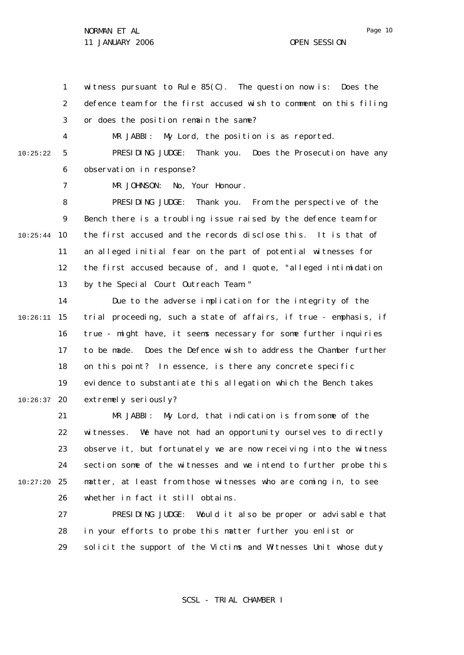1 2 3 witness pursuant to Rule  $85(C)$ . The question now is: Does the defence team for the first accused wish to comment on this filing or does the position remain the same?

10:25:22

4

MR JABBI: My Lord, the position is as reported.

5 6 PRESIDING JUDGE: Thank you. Does the Prosecution have any observation in response?

7 MR JOHNSON: No, Your Honour.

8  $\mathsf{Q}$ 10 10:25:44 11 12 13 PRESIDING JUDGE: Thank you. From the perspective of the Bench there is a troubling issue raised by the defence team for the first accused and the records disclose this. It is that of an alleged initial fear on the part of potential witnesses for the first accused because of, and I quote, "alleged intimidation by the Special Court Outreach Team."

14 15 10:26:11 16 17 18 19 20 10:26:37 Due to the adverse implication for the integrity of the trial proceeding, such a state of affairs, if true - emphasis, if true - might have, it seems necessary for some further inquiries to be made. Does the Defence wish to address the Chamber further on this point? In essence, is there any concrete specific evidence to substantiate this allegation which the Bench takes extremely seriously?

21 22 23 24 25 10:27:20 26 MR JABBI: My Lord, that indication is from some of the witnesses. We have not had an opportunity ourselves to directly observe it, but fortunately we are now receiving into the witness section some of the witnesses and we intend to further probe this matter, at least from those witnesses who are coming in, to see whether in fact it still obtains.

> 27 28 29 PRESIDING JUDGE: Would it also be proper or advisable that in your efforts to probe this matter further you enlist or solicit the support of the Victims and Witnesses Unit whose duty

> > SCSL - TRIAL CHAMBER I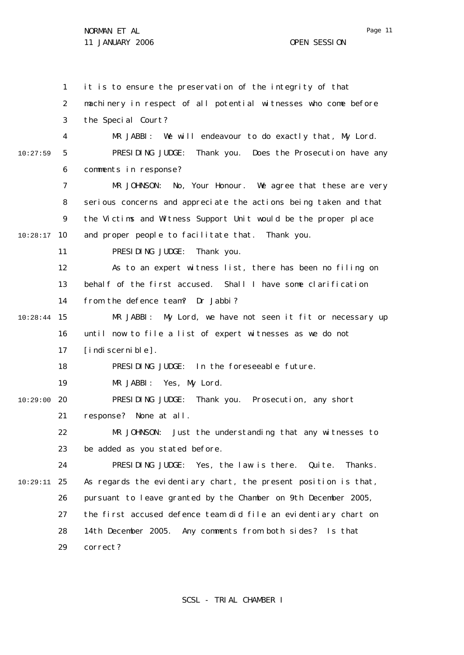1 2 3 4 5 6 7 8  $\mathsf{Q}$ 10 10:28:17 11 12 13 14 15 10:28:44 16 17 18 19 20 10:29:00 21 22 23 24 25 10:29:11 26 27 28 29 10:27:59 it is to ensure the preservation of the integrity of that machinery in respect of all potential witnesses who come before the Special Court? MR JABBI: We will endeavour to do exactly that, My Lord. PRESIDING JUDGE: Thank you. Does the Prosecution have any comments in response? MR JOHNSON: No, Your Honour. We agree that these are very serious concerns and appreciate the actions being taken and that the Victims and Witness Support Unit would be the proper place and proper people to facilitate that. Thank you. PRESIDING JUDGE: Thank you. As to an expert witness list, there has been no filing on behalf of the first accused. Shall I have some clarification from the defence team? Dr Jabbi? MR JABBI: My Lord, we have not seen it fit or necessary up until now to file a list of expert witnesses as we do not [indi scerni ble]. PRESIDING JUDGE: In the foreseeable future. MR JABBI: Yes, My Lord. PRESIDING JUDGE: Thank you. Prosecution, any short response? None at all. MR JOHNSON: Just the understanding that any witnesses to be added as you stated before. PRESIDING JUDGE: Yes, the law is there. Quite. Thanks. As regards the evidentiary chart, the present position is that, pursuant to leave granted by the Chamber on 9th December 2005, the first accused defence team did file an evidentiary chart on 14th December 2005. Any comments from both sides? Is that correct?

SCSL - TRIAL CHAMBER I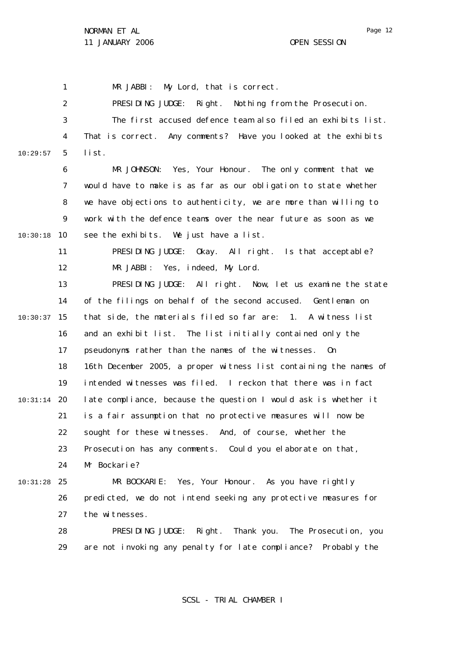Page 12

1 2 3 4 5 6 7 8  $\mathsf{Q}$ 10 10:30:18 11 12 13 14 15 10:30:37 16 17 18 19 20 10:31:14 21 22 23 24 25 10:31:28 26 27 28 29 10:29:57 MR JABBI: My Lord, that is correct. PRESIDING JUDGE: Right. Nothing from the Prosecution. The first accused defence team also filed an exhibits list. That is correct. Any comments? Have you looked at the exhibits list. MR JOHNSON: Yes, Your Honour. The only comment that we would have to make is as far as our obligation to state whether we have objections to authenticity, we are more than willing to work with the defence teams over the near future as soon as we see the exhibits. We just have a list. PRESIDING JUDGE: Okay. All right. Is that acceptable? MR JABBI: Yes, indeed, My Lord. PRESIDING JUDGE: All right. Now, let us examine the state of the filings on behalf of the second accused. Gentleman on that side, the materials filed so far are: 1. A witness list and an exhibit list. The list initially contained only the pseudonyms rather than the names of the witnesses. On 16th December 2005, a proper witness list containing the names of intended witnesses was filed. I reckon that there was in fact late compliance, because the question I would ask is whether it is a fair assumption that no protective measures will now be sought for these witnesses. And, of course, whether the Prosecution has any comments. Could you elaborate on that, Mr Bockarie? MR BOCKARIE: Yes, Your Honour. As you have rightly predicted, we do not intend seeking any protective measures for the witnesses. PRESIDING JUDGE: Right. Thank you. The Prosecution, you are not invoking any penalty for late compliance? Probably the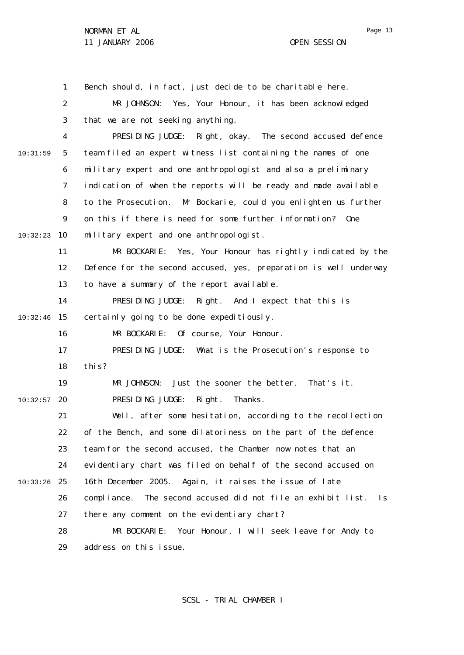1 2 3 4 5 6 7 8  $\mathsf{Q}$ 10 10:32:23 11 12 13 14 15 10:32:46 16 17 18 19 20 10:32:57 21 22 23 24 25 10:33:26 26 27 28 29 10:31:59 Bench should, in fact, just decide to be charitable here. MR JOHNSON: Yes, Your Honour, it has been acknowledged that we are not seeking anything. PRESIDING JUDGE: Right, okay. The second accused defence team filed an expert witness list containing the names of one military expert and one anthropologist and also a preliminary indication of when the reports will be ready and made available to the Prosecution. Mr Bockarie, could you enlighten us further on this if there is need for some further information? One military expert and one anthropologist. MR BOCKARIE: Yes, Your Honour has rightly indicated by the Defence for the second accused, yes, preparation is well underway to have a summary of the report available. PRESIDING JUDGE: Right. And I expect that this is certainly going to be done expeditiously. MR BOCKARIE: Of course, Your Honour. PRESIDING JUDGE: What is the Prosecution's response to this? MR JOHNSON: Just the sooner the better. That's it. PRESIDING JUDGE: Right. Thanks. Well, after some hesitation, according to the recollection of the Bench, and some dilatoriness on the part of the defence team for the second accused, the Chamber now notes that an evidentiary chart was filed on behalf of the second accused on 16th December 2005. Again, it raises the issue of late compliance. The second accused did not file an exhibit list. Is there any comment on the evidentiary chart? MR BOCKARIE: Your Honour, I will seek leave for Andy to address on this issue.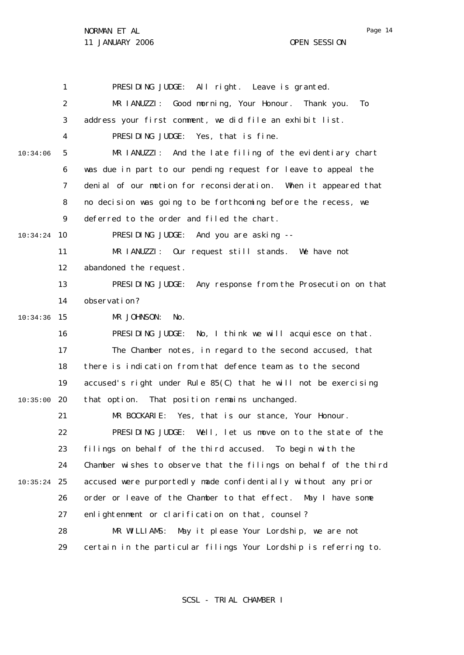1 2 3 4 5 6 7 8  $\mathsf{Q}$ 10 10:34:24 11 12 13 14 15 10:34:36 16 17 18 19 20 10:35:00 21 22 23 24 25 10:35:24 26 27 28 29 10:34:06 PRESIDING JUDGE: All right. Leave is granted. MR IANUZZI: Good morning, Your Honour. Thank you. To address your first comment, we did file an exhibit list. PRESIDING JUDGE: Yes, that is fine. MR IANUZZI: And the late filing of the evidentiary chart was due in part to our pending request for leave to appeal the denial of our motion for reconsideration. When it appeared that no decision was going to be forthcoming before the recess, we deferred to the order and filed the chart. PRESIDING JUDGE: And you are asking -- MR IANUZZI: Our request still stands. We have not abandoned the request. PRESIDING JUDGE: Any response from the Prosecution on that observation? MR JOHNSON: No. PRESIDING JUDGE: No, I think we will acquiesce on that. The Chamber notes, in regard to the second accused, that there is indication from that defence team as to the second accused's right under Rule 85(C) that he will not be exercising that option. That position remains unchanged. MR BOCKARIE: Yes, that is our stance, Your Honour. PRESIDING JUDGE: Well, let us move on to the state of the filings on behalf of the third accused. To begin with the Chamber wishes to observe that the filings on behalf of the third accused were purportedly made confidentially without any prior order or leave of the Chamber to that effect. May I have some enlightenment or clarification on that, counsel? MR WILLIAMS: May it please Your Lordship, we are not certain in the particular filings Your Lordship is referring to.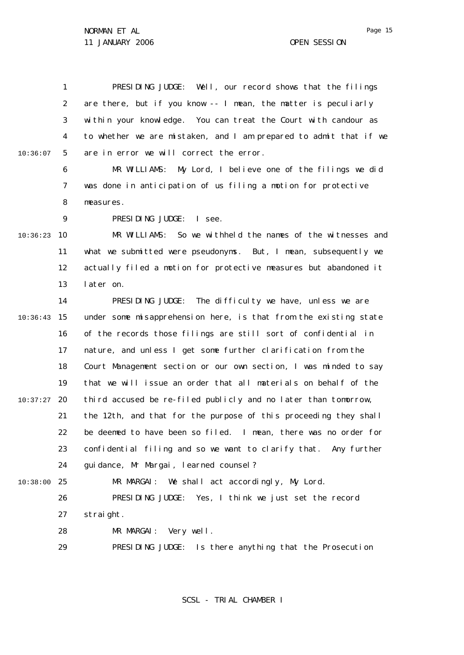1 2 3 4 5 10:36:07 PRESIDING JUDGE: Well, our record shows that the filings are there, but if you know -- I mean, the matter is peculiarly within your knowledge. You can treat the Court with candour as to whether we are mistaken, and I am prepared to admit that if we are in error we will correct the error.

> 6 7 8 MR WILLIAMS: My Lord, I believe one of the filings we did was done in anticipation of us filing a motion for protective measures.

PRESIDING JUDGE: I see.

 $\mathsf{Q}$ 

10 10:36:23 11 12 13 MR WILLIAMS: So we withheld the names of the witnesses and what we submitted were pseudonyms. But, I mean, subsequently we actually filed a motion for protective measures but abandoned it later on.

14 15 10:36:43 16 17 18 19 20 10:37:27 21 22 23 24 25 10:38:00 PRESIDING JUDGE: The difficulty we have, unless we are under some misapprehension here, is that from the existing state of the records those filings are still sort of confidential in nature, and unless I get some further clarification from the Court Management section or our own section, I was minded to say that we will issue an order that all materials on behalf of the third accused be re-filed publicly and no later than tomorrow, the 12th, and that for the purpose of this proceeding they shall be deemed to have been so filed. I mean, there was no order for confidential filing and so we want to clarify that. Any further guidance, Mr Margai, learned counsel? MR MARGAI: We shall act accordingly, My Lord.

26 27 PRESIDING JUDGE: Yes, I think we just set the record straight.

28 MR MARGAI: Very well.

29 PRESIDING JUDGE: Is there anything that the Prosecution

SCSL - TRIAL CHAMBER I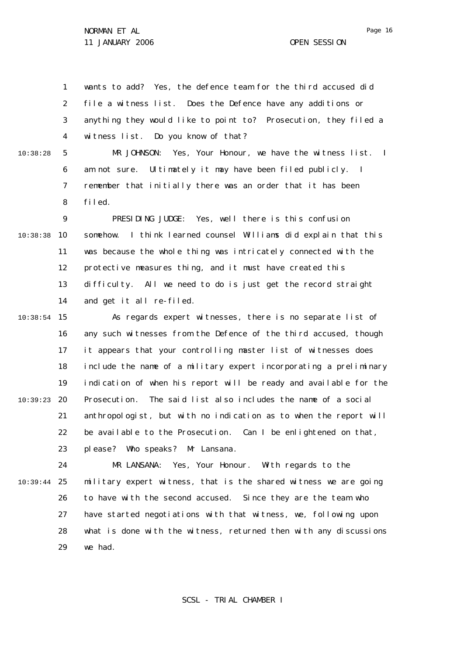1 2 3 4 5 6 7 8  $\mathsf{Q}$ 10 10:38:38 11 12 13 14 15 10:38:54 16 17 18 19 20 10:39:23 21 22 23 24 25 10:39:44 26 27 28 29 10:38:28 wants to add? Yes, the defence team for the third accused did file a witness list. Does the Defence have any additions or anything they would like to point to? Prosecution, they filed a witness list. Do you know of that? MR JOHNSON: Yes, Your Honour, we have the witness list. I am not sure. Ultimately it may have been filed publicly. I remember that initially there was an order that it has been filed. PRESIDING JUDGE: Yes, well there is this confusion somehow. I think learned counsel Williams did explain that this was because the whole thing was intricately connected with the protective measures thing, and it must have created this difficulty. All we need to do is just get the record straight and get it all re-filed. As regards expert witnesses, there is no separate list of any such witnesses from the Defence of the third accused, though it appears that your controlling master list of witnesses does include the name of a military expert incorporating a preliminary indication of when his report will be ready and available for the Prosecution. The said list also includes the name of a social anthropologist, but with no indication as to when the report will be available to the Prosecution. Can I be enlightened on that, please? Who speaks? Mr Lansana. MR LANSANA: Yes, Your Honour. With regards to the military expert witness, that is the shared witness we are going to have with the second accused. Since they are the team who have started negotiations with that witness, we, following upon what is done with the witness, returned then with any discussions we had.

SCSL - TRIAL CHAMBER I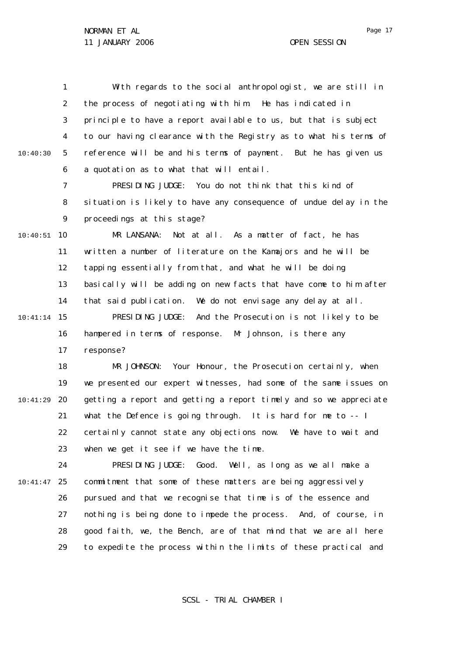1 2 3 4 5 6 10:40:30 With regards to the social anthropologist, we are still in the process of negotiating with him. He has indicated in principle to have a report available to us, but that is subject to our having clearance with the Registry as to what his terms of reference will be and his terms of payment. But he has given us a quotation as to what that will entail.

> 7 8  $\mathsf{Q}$ PRESIDING JUDGE: You do not think that this kind of situation is likely to have any consequence of undue delay in the proceedings at this stage?

10 10:40:51 11 12 13 14 15 10:41:14 16 17 MR LANSANA: Not at all. As a matter of fact, he has written a number of literature on the Kamajors and he will be tapping essentially from that, and what he will be doing basically will be adding on new facts that have come to him after that said publication. We do not envisage any delay at all. PRESIDING JUDGE: And the Prosecution is not likely to be hampered in terms of response. Mr Johnson, is there any response?

18 19 20 10:41:29 21 22 23 MR JOHNSON: Your Honour, the Prosecution certainly, when we presented our expert witnesses, had some of the same issues on getting a report and getting a report timely and so we appreciate what the Defence is going through. It is hard for me to -- I certainly cannot state any objections now. We have to wait and when we get it see if we have the time.

24 25 10:41:47 26 27 28 29 PRESIDING JUDGE: Good. Well, as long as we all make a commitment that some of these matters are being aggressively pursued and that we recognise that time is of the essence and nothing is being done to impede the process. And, of course, in good faith, we, the Bench, are of that mind that we are all here to expedite the process within the limits of these practical and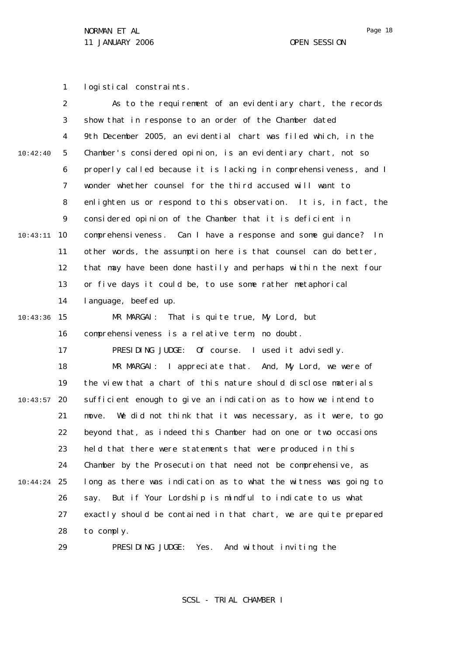1 logistical constraints.

|          | 2              | As to the requirement of an evidentiary chart, the records         |
|----------|----------------|--------------------------------------------------------------------|
|          | 3              | show that in response to an order of the Chamber dated             |
|          | 4              | 9th December 2005, an evidential chart was filed which, in the     |
| 10:42:40 | 5              | Chamber's considered opinion, is an evidentiary chart, not so      |
|          | 6              | properly called because it is lacking in comprehensiveness, and I  |
|          | $\overline{7}$ | wonder whether counsel for the third accused will want to          |
|          | 8              | enlighten us or respond to this observation. It is, in fact, the   |
|          | 9              | considered opinion of the Chamber that it is deficient in          |
| 10:43:11 | 10             | comprehensiveness. Can I have a response and some guidance? In     |
|          | 11             | other words, the assumption here is that counsel can do better,    |
|          | 12             | that may have been done hastily and perhaps within the next four   |
|          | 13             | or five days it could be, to use some rather metaphorical          |
|          | 14             | l anguage, beefed up.                                              |
| 10:43:36 | 15             | MR MARGAI: That is quite true, My Lord, but                        |
|          | 16             | comprehensiveness is a relative term, no doubt.                    |
|          | 17             | PRESIDING JUDGE: Of course. I used it advisedly.                   |
|          | 18             | MR MARGAI: I appreciate that. And, My Lord, we were of             |
|          | 19             | the view that a chart of this nature should disclose materials     |
| 10:43:57 | 20             | sufficient enough to give an indication as to how we intend to     |
|          | 21             | We did not think that it was necessary, as it were, to go<br>move. |
|          | 22             | beyond that, as indeed this Chamber had on one or two occasions    |
|          | 23             | held that there were statements that were produced in this         |
|          | 24             | Chamber by the Prosecution that need not be comprehensive, as      |
| 10:44:24 | 25             | long as there was indication as to what the witness was going to   |
|          | 26             | But if Your Lordship is mindful to indicate to us what<br>say.     |
|          | 27             | exactly should be contained in that chart, we are quite prepared   |
|          | 28             | to comply.                                                         |
|          | 29             | PRESIDING JUDGE: Yes. And without inviting the                     |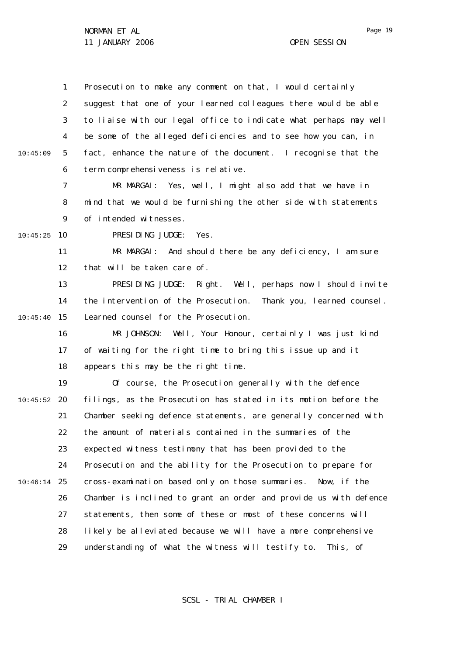1 2 3 4 5 6 10:45:09 Prosecution to make any comment on that, I would certainly suggest that one of your learned colleagues there would be able to liaise with our legal office to indicate what perhaps may well be some of the alleged deficiencies and to see how you can, in fact, enhance the nature of the document. I recognise that the term comprehensiveness is relative.

7 8  $\mathsf{Q}$ MR MARGAI: Yes, well, I might also add that we have in mind that we would be furnishing the other side with statements of intended witnesses.

10 10:45:25

PRESIDING JUDGE: Yes.

11 12 MR MARGAI: And should there be any deficiency, I am sure that will be taken care of.

13 14 15 10:45:40 PRESIDING JUDGE: Right. Well, perhaps now I should invite the intervention of the Prosecution. Thank you, learned counsel. Learned counsel for the Prosecution.

16 17 18 MR JOHNSON: Well, Your Honour, certainly I was just kind of waiting for the right time to bring this issue up and it appears this may be the right time.

19 20 10:45:52 21 22 23 24 25 10:46:14 26 27 28 29 Of course, the Prosecution generally with the defence filings, as the Prosecution has stated in its motion before the Chamber seeking defence statements, are generally concerned with the amount of materials contained in the summaries of the expected witness testimony that has been provided to the Prosecution and the ability for the Prosecution to prepare for cross-examination based only on those summaries. Now, if the Chamber is inclined to grant an order and provide us with defence statements, then some of these or most of these concerns will likely be alleviated because we will have a more comprehensive understanding of what the witness will testify to. This, of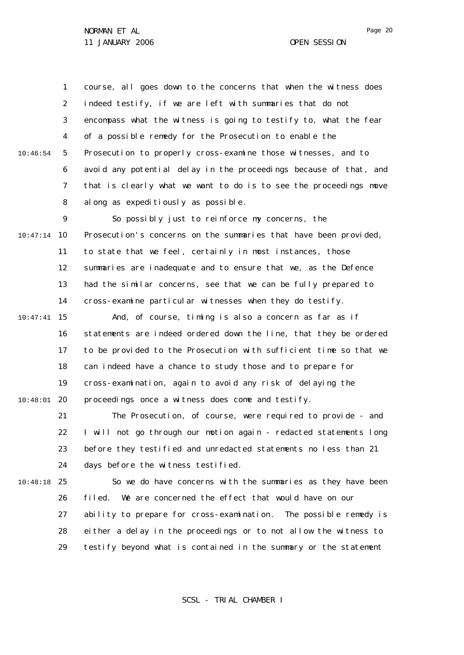1 2 3 4 5 6 7 8 10:46:54 course, all goes down to the concerns that when the witness does indeed testify, if we are left with summaries that do not encompass what the witness is going to testify to, what the fear of a possible remedy for the Prosecution to enable the Prosecution to properly cross-examine those witnesses, and to avoid any potential delay in the proceedings because of that, and that is clearly what we want to do is to see the proceedings move along as expeditiously as possible.

 $\mathsf{Q}$ 10 10:47:14 11 12 13 14 So possibly just to reinforce my concerns, the Prosecution's concerns on the summaries that have been provided, to state that we feel, certainly in most instances, those summaries are inadequate and to ensure that we, as the Defence had the similar concerns, see that we can be fully prepared to cross-examine particular witnesses when they do testify.

15 10:47:41 16 17 18 19 20 10:48:01 And, of course, timing is also a concern as far as if statements are indeed ordered down the line, that they be ordered to be provided to the Prosecution with sufficient time so that we can indeed have a chance to study those and to prepare for cross-examination, again to avoid any risk of delaying the proceedings once a witness does come and testify.

> 21 22 23 24 The Prosecution, of course, were required to provide - and I will not go through our motion again - redacted statements long before they testified and unredacted statements no less than 21 days before the witness testified.

25 10:48:18

26 27 28 29 So we do have concerns with the summaries as they have been filed. We are concerned the effect that would have on our ability to prepare for cross-examination. The possible remedy is either a delay in the proceedings or to not allow the witness to testify beyond what is contained in the summary or the statement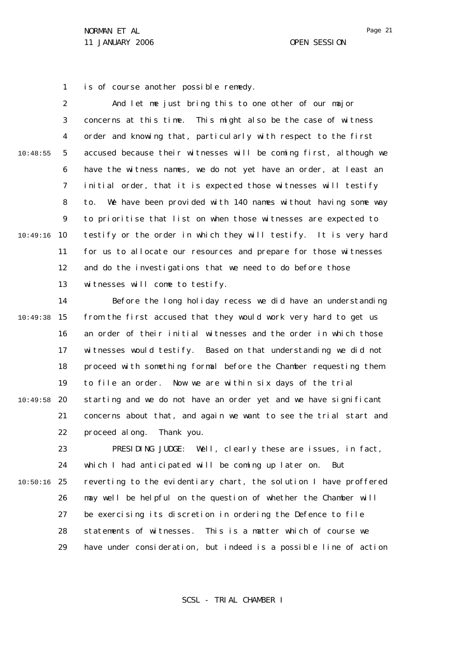1 is of course another possible remedy.

2 3 4 5 6 7 8  $\mathsf{Q}$ 10 10:49:16 11 12 13 10:48:55 And let me just bring this to one other of our major concerns at this time. This might also be the case of witness order and knowing that, particularly with respect to the first accused because their witnesses will be coming first, although we have the witness names, we do not yet have an order, at least an initial order, that it is expected those witnesses will testify to. We have been provided with 140 names without having some way to prioritise that list on when those witnesses are expected to testify or the order in which they will testify. It is very hard for us to allocate our resources and prepare for those witnesses and do the investigations that we need to do before those witnesses will come to testify.

14 15 10:49:38 16 17 18 19 20 10:49:58 21 22 Before the long holiday recess we did have an understanding from the first accused that they would work very hard to get us an order of their initial witnesses and the order in which those witnesses would testify. Based on that understanding we did not proceed with something formal before the Chamber requesting them to file an order. Now we are within six days of the trial starting and we do not have an order yet and we have significant concerns about that, and again we want to see the trial start and proceed along. Thank you.

23 24 25 10:50:16 26 27 28 29 PRESIDING JUDGE: Well, clearly these are issues, in fact, which I had anticipated will be coming up later on. But reverting to the evidentiary chart, the solution I have proffered may well be helpful on the question of whether the Chamber will be exercising its discretion in ordering the Defence to file statements of witnesses. This is a matter which of course we have under consideration, but indeed is a possible line of action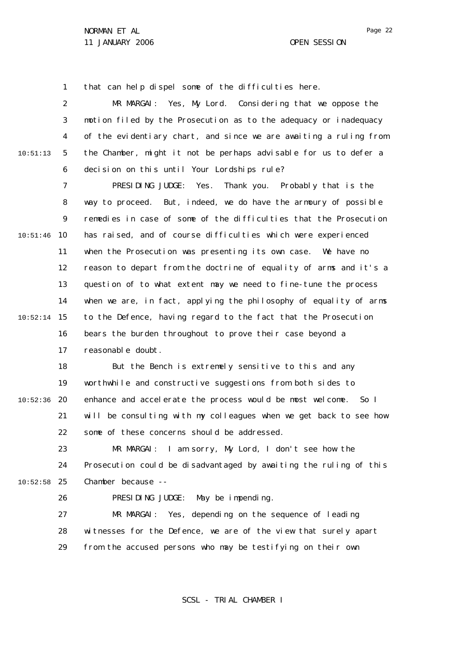1 that can help dispel some of the difficulties here.

2 3 4 5 6 10:51:13 MR MARGAI: Yes, My Lord. Considering that we oppose the motion filed by the Prosecution as to the adequacy or inadequacy of the evidentiary chart, and since we are awaiting a ruling from the Chamber, might it not be perhaps advisable for us to defer a decision on this until Your Lordships rule?

7 8  $\mathsf{Q}$ 10 10:51:46 11 12 13 14 15 10:52:14 16 17 PRESIDING JUDGE: Yes. Thank you. Probably that is the way to proceed. But, indeed, we do have the armoury of possible remedies in case of some of the difficulties that the Prosecution has raised, and of course difficulties which were experienced when the Prosecution was presenting its own case. We have no reason to depart from the doctrine of equality of arms and it's a question of to what extent may we need to fine-tune the process when we are, in fact, applying the philosophy of equality of arms to the Defence, having regard to the fact that the Prosecution bears the burden throughout to prove their case beyond a reasonable doubt.

18 19 20 10:52:36 21 22 But the Bench is extremely sensitive to this and any worthwhile and constructive suggestions from both sides to enhance and accelerate the process would be most welcome. So I will be consulting with my colleagues when we get back to see how some of these concerns should be addressed.

23 24 25 10:52:58 MR MARGAI: I am sorry, My Lord, I don't see how the Prosecution could be disadvantaged by awaiting the ruling of this Chamber because --

## 26

PRESIDING JUDGE: May be impending.

27 28 29 MR MARGAI: Yes, depending on the sequence of leading witnesses for the Defence, we are of the view that surely apart from the accused persons who may be testifying on their own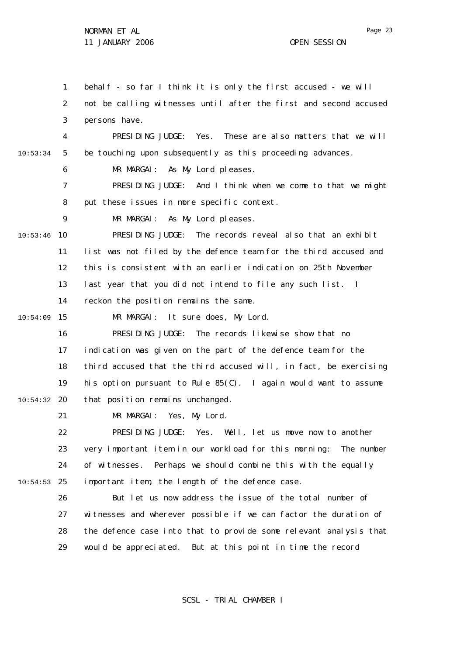1 2 3 4 5 6 7 8  $\mathsf{Q}$ 10 10:53:46 11 12 13 14 15 10:54:09 16 17 18 19 20 10:54:32 21 22 23 24 25 10:54:53 26 27 28 29 10:53:34 behalf - so far I think it is only the first accused - we will not be calling witnesses until after the first and second accused persons have. PRESIDING JUDGE: Yes. These are also matters that we will be touching upon subsequently as this proceeding advances. MR MARGAI: As My Lord pleases. PRESIDING JUDGE: And I think when we come to that we might put these issues in more specific context. MR MARGAI: As My Lord pleases. PRESIDING JUDGE: The records reveal also that an exhibit list was not filed by the defence team for the third accused and this is consistent with an earlier indication on 25th November last year that you did not intend to file any such list. I reckon the position remains the same. MR MARGAI: It sure does, My Lord. PRESIDING JUDGE: The records likewise show that no indication was given on the part of the defence team for the third accused that the third accused will, in fact, be exercising his option pursuant to Rule 85(C). I again would want to assume that position remains unchanged. MR MARGAI: Yes, My Lord. PRESIDING JUDGE: Yes. Well, let us move now to another very important item in our workload for this morning: The number of witnesses. Perhaps we should combine this with the equally important item, the length of the defence case. But let us now address the issue of the total number of witnesses and wherever possible if we can factor the duration of the defence case into that to provide some relevant analysis that would be appreciated. But at this point in time the record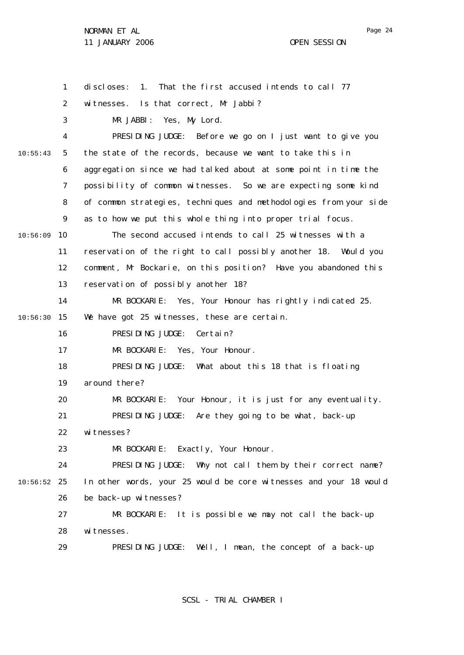1 2 3 4 5 6 7 8  $\mathsf{Q}$ 10 10:56:09 11 12 13 14 15 10:56:30 16 17 18 19 20 21 22 23 24 25 10:56:52 26 27 28 29 10:55:43 discloses: 1. That the first accused intends to call 77 witnesses. Is that correct, Mr Jabbi? MR JABBI: Yes, My Lord. PRESIDING JUDGE: Before we go on I just want to give you the state of the records, because we want to take this in aggregation since we had talked about at some point in time the possibility of common witnesses. So we are expecting some kind of common strategies, techniques and methodologies from your side as to how we put this whole thing into proper trial focus. The second accused intends to call 25 witnesses with a reservation of the right to call possibly another 18. Would you comment, Mr Bockarie, on this position? Have you abandoned this reservation of possibly another 18? MR BOCKARIE: Yes, Your Honour has rightly indicated 25. We have got 25 witnesses, these are certain. PRESIDING JUDGE: Certain? MR BOCKARIE: Yes, Your Honour. PRESIDING JUDGE: What about this 18 that is floating around there? MR BOCKARIE: Your Honour, it is just for any eventuality. PRESIDING JUDGE: Are they going to be what, back-up witnesses? MR BOCKARIE: Exactly, Your Honour. PRESIDING JUDGE: Why not call them by their correct name? In other words, your 25 would be core witnesses and your 18 would be back-up witnesses? MR BOCKARIE: It is possible we may not call the back-up witnesses. PRESIDING JUDGE: Well, I mean, the concept of a back-up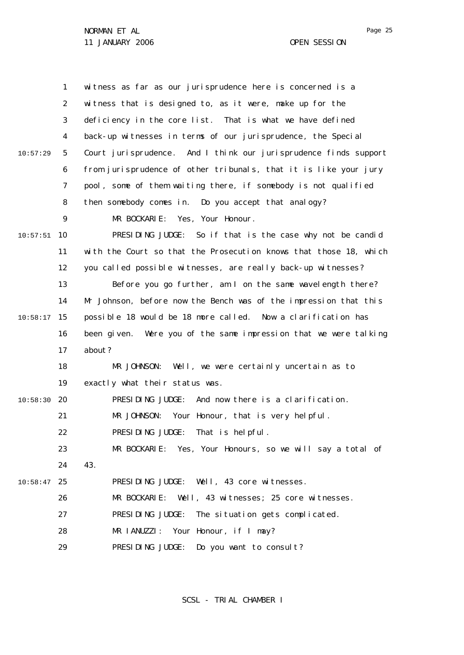NORMAN ET AL

11 JANUARY 2006 OPEN SESSION

|          | 1  | witness as far as our jurisprudence here is concerned is a        |
|----------|----|-------------------------------------------------------------------|
|          | 2  | witness that is designed to, as it were, make up for the          |
|          | 3  | deficiency in the core list. That is what we have defined         |
|          | 4  | back-up witnesses in terms of our jurisprudence, the Special      |
| 10:57:29 | 5  | Court jurisprudence. And I think our jurisprudence finds support  |
|          | 6  | from jurisprudence of other tribunals, that it is like your jury  |
|          | 7  | pool, some of them waiting there, if somebody is not qualified    |
|          | 8  | then somebody comes in. Do you accept that analogy?               |
|          | 9  | MR BOCKARIE: Yes, Your Honour.                                    |
| 10:57:51 | 10 | PRESIDING JUDGE: So if that is the case why not be candid         |
|          | 11 | with the Court so that the Prosecution knows that those 18, which |
|          | 12 | you called possible witnesses, are really back-up witnesses?      |
|          | 13 | Before you go further, am I on the same wavelength there?         |
|          | 14 | Mr Johnson, before now the Bench was of the impression that this  |
| 10:58:17 | 15 | possible 18 would be 18 more called. Now a clarification has      |
|          | 16 | been given. Were you of the same impression that we were talking  |
|          | 17 | about?                                                            |
|          | 18 | MR JOHNSON:<br>Well, we were certainly uncertain as to            |
|          | 19 | exactly what their status was.                                    |
| 10:58:30 | 20 | PRESIDING JUDGE: And now there is a clarification.                |
|          | 21 | MR JOHNSON: Your Honour, that is very helpful.                    |
|          | 22 | PRESIDING JUDGE: That is helpful.                                 |
|          | 23 | MR BOCKARIE: Yes, Your Honours, so we will say a total of         |
|          | 24 | 43.                                                               |
| 10:58:47 | 25 | PRESIDING JUDGE: Well, 43 core witnesses.                         |
|          | 26 | MR BOCKARIE: Well, 43 witnesses; 25 core witnesses.               |
|          | 27 | PRESIDING JUDGE: The situation gets complicated.                  |
|          | 28 | MR IANUZZI: Your Honour, if I may?                                |
|          | 29 | PRESIDING JUDGE: Do you want to consult?                          |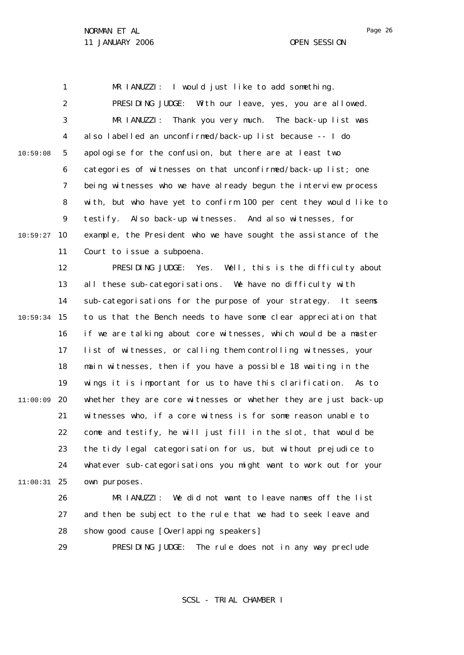1 2 3 4 5 6 7 8  $\mathsf{Q}$ 10 10:59:27 11 12 13 14 15 10:59:34 16 17 18 19 20 11:00:09 21 22 23 24 25 11:00:31 26 27 10:59:08 MR IANUZZI: I would just like to add something. PRESIDING JUDGE: With our leave, yes, you are allowed. MR IANUZZI: Thank you very much. The back-up list was also labelled an unconfirmed/back-up list because -- I do apologise for the confusion, but there are at least two categories of witnesses on that unconfirmed/back-up list; one being witnesses who we have already begun the interview process with, but who have yet to confirm 100 per cent they would like to testify. Also back-up witnesses. And also witnesses, for example, the President who we have sought the assistance of the Court to issue a subpoena. PRESIDING JUDGE: Yes. Well, this is the difficulty about all these sub-categorisations. We have no difficulty with sub-categorisations for the purpose of your strategy. It seems to us that the Bench needs to have some clear appreciation that if we are talking about core witnesses, which would be a master list of witnesses, or calling them controlling witnesses, your main witnesses, then if you have a possible 18 waiting in the wings it is important for us to have this clarification. As to whether they are core witnesses or whether they are just back-up witnesses who, if a core witness is for some reason unable to come and testify, he will just fill in the slot, that would be the tidy legal categorisation for us, but without prejudice to whatever sub-categorisations you might want to work out for your own purposes. MR IANUZZI: We did not want to leave names off the list and then be subject to the rule that we had to seek leave and

> 29 PRESIDING JUDGE: The rule does not in any way preclude

show good cause [Overlapping speakers]

28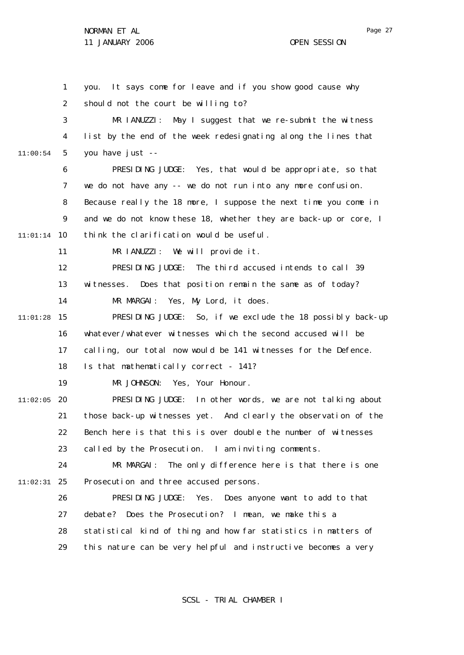1 2 3 4 5 6 7 8  $\mathsf{Q}$ 10 11:01:14 11 12 13 14 15 11:01:28 16 17 18 19 20 11:02:05 21 22 23 24 25 11:02:31 26 27 28 29 11:00:54 you. It says come for leave and if you show good cause why should not the court be willing to? MR IANUZZI: May I suggest that we re-submit the witness list by the end of the week redesignating along the lines that you have just -- PRESIDING JUDGE: Yes, that would be appropriate, so that we do not have any -- we do not run into any more confusion. Because really the 18 more, I suppose the next time you come in and we do not know these 18, whether they are back-up or core, I think the clarification would be useful. MR IANUZZI: We will provide it. PRESIDING JUDGE: The third accused intends to call 39 witnesses. Does that position remain the same as of today? MR MARGAI: Yes, My Lord, it does. PRESIDING JUDGE: So, if we exclude the 18 possibly back-up whatever/whatever witnesses which the second accused will be calling, our total now would be 141 witnesses for the Defence. Is that mathematically correct - 141? MR JOHNSON: Yes, Your Honour. PRESIDING JUDGE: In other words, we are not talking about those back-up witnesses yet. And clearly the observation of the Bench here is that this is over double the number of witnesses called by the Prosecution. I am inviting comments. MR MARGAI: The only difference here is that there is one Prosecution and three accused persons. PRESIDING JUDGE: Yes. Does anyone want to add to that debate? Does the Prosecution? I mean, we make this a statistical kind of thing and how far statistics in matters of this nature can be very helpful and instructive becomes a very

SCSL - TRIAL CHAMBER I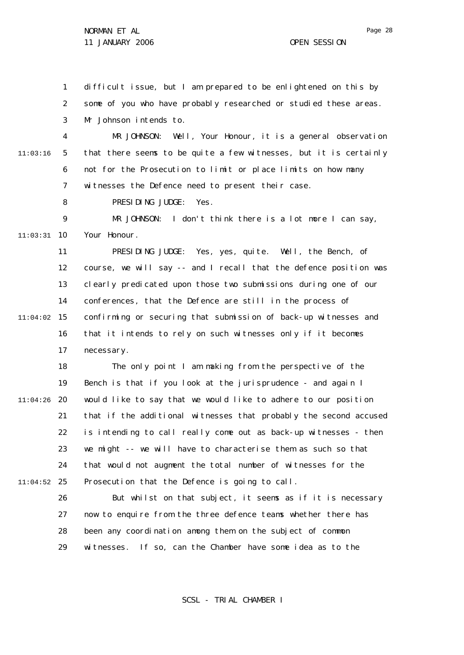1 2 3 difficult issue, but I am prepared to be enlightened on this by some of you who have probably researched or studied these areas. Mr Johnson intends to.

4 5 6 7 11:03:16 MR JOHNSON: Well, Your Honour, it is a general observation that there seems to be quite a few witnesses, but it is certainly not for the Prosecution to limit or place limits on how many witnesses the Defence need to present their case.

> 8 PRESIDING JUDGE: Yes.

 $\mathsf{Q}$ 10 11:03:31 MR JOHNSON: I don't think there is a lot more I can say, Your Honour.

11 12 13 14 15 11:04:02 16 17 PRESIDING JUDGE: Yes, yes, quite. Well, the Bench, of course, we will say -- and I recall that the defence position was clearly predicated upon those two submissions during one of our conferences, that the Defence are still in the process of confirming or securing that submission of back-up witnesses and that it intends to rely on such witnesses only if it becomes necessary.

18 19 20 11:04:26 21 22 23 24 25 11:04:52 The only point I am making from the perspective of the Bench is that if you look at the jurisprudence - and again I would like to say that we would like to adhere to our position that if the additional witnesses that probably the second accused is intending to call really come out as back-up witnesses - then we might -- we will have to characterise them as such so that that would not augment the total number of witnesses for the Prosecution that the Defence is going to call.

> 26 27 28 29 But whilst on that subject, it seems as if it is necessary now to enquire from the three defence teams whether there has been any coordination among them on the subject of common witnesses. If so, can the Chamber have some idea as to the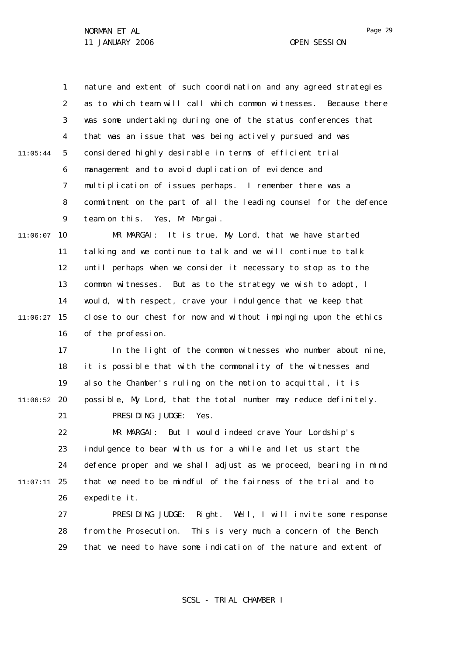1 2 3 4 5 6 7 8  $\mathsf{Q}$ 10 11:06:07 11 12 13 14 11:05:44 nature and extent of such coordination and any agreed strategies as to which team will call which common witnesses. Because there was some undertaking during one of the status conferences that that was an issue that was being actively pursued and was considered highly desirable in terms of efficient trial management and to avoid duplication of evidence and multiplication of issues perhaps. I remember there was a commitment on the part of all the leading counsel for the defence team on this. Yes, Mr Margai. MR MARGAI: It is true, My Lord, that we have started talking and we continue to talk and we will continue to talk until perhaps when we consider it necessary to stop as to the common witnesses. But as to the strategy we wish to adopt, I would, with respect, crave your indulgence that we keep that

15 11:06:27 16 close to our chest for now and without impinging upon the ethics of the profession.

17 18 19 20 11:06:52 21 In the light of the common witnesses who number about nine, it is possible that with the commonality of the witnesses and also the Chamber's ruling on the motion to acquittal, it is possible, My Lord, that the total number may reduce definitely. PRESIDING JUDGE: Yes.

22 23 24 25 11:07:11 26 MR MARGAI: But I would indeed crave Your Lordship's indulgence to bear with us for a while and let us start the defence proper and we shall adjust as we proceed, bearing in mind that we need to be mindful of the fairness of the trial and to expedite it.

> 27 28 29 PRESIDING JUDGE: Right. Well, I will invite some response from the Prosecution. This is very much a concern of the Bench that we need to have some indication of the nature and extent of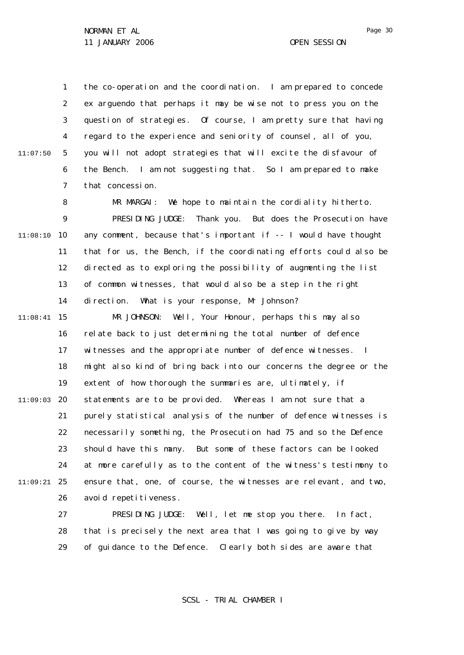1 2 3 4 5 6 7 11:07:50 the co-operation and the coordination. I am prepared to concede *ex arguendo* that perhaps it may be wise not to press you on the question of strategies. Of course, I am pretty sure that having regard to the experience and seniority of counsel, all of you, you will not adopt strategies that will excite the disfavour of the Bench. I am not suggesting that. So I am prepared to make that concession.

8  $\mathsf{Q}$ 10 11:08:10 11 12 13 14 15 11:08:41 16 17 18 19 20 11:09:03 21 22 23 24 25 11:09:21 26 MR MARGAI: We hope to maintain the cordiality hitherto. PRESIDING JUDGE: Thank you. But does the Prosecution have any comment, because that's important  $if -1$  would have thought that for us, the Bench, if the coordinating efforts could also be directed as to exploring the possibility of augmenting the list of common witnesses, that would also be a step in the right direction. What is your response, Mr Johnson? MR JOHNSON: Well, Your Honour, perhaps this may also relate back to just determining the total number of defence witnesses and the appropriate number of defence witnesses. I might also kind of bring back into our concerns the degree or the extent of how thorough the summaries are, ultimately, if statements are to be provided. Whereas I am not sure that a purely statistical analysis of the number of defence witnesses is necessarily something, the Prosecution had 75 and so the Defence should have this many. But some of these factors can be looked at more carefully as to the content of the witness's testimony to ensure that, one, of course, the witnesses are relevant, and two, avoid repetitiveness.

> 27 28 29 PRESIDING JUDGE: Well, let me stop you there. In fact, that is precisely the next area that I was going to give by way of guidance to the Defence. Clearly both sides are aware that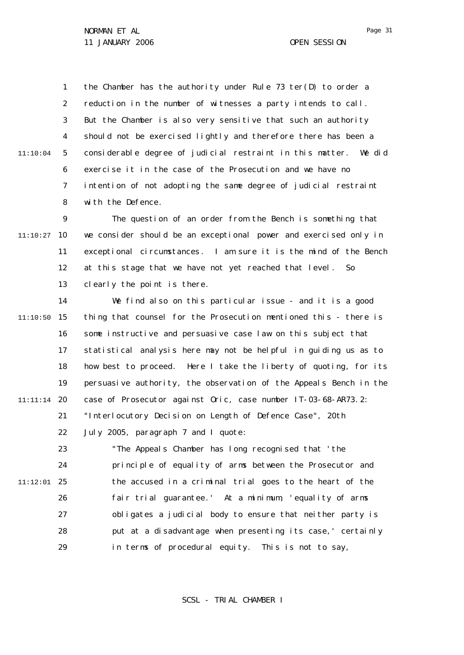SCSL - TRIAL CHAMBER I

1 2 3 4 5 6 7 8 11:10:04 the Chamber has the authority under Rule 73 *ter*(D) to order a reduction in the number of witnesses a party intends to call. But the Chamber is also very sensitive that such an authority should not be exercised lightly and therefore there has been a considerable degree of judicial restraint in this matter. We did exercise it in the case of the Prosecution and we have no intention of not adopting the same degree of judicial restraint with the Defence.

 $\mathsf{Q}$ 10 11:10:27 11 12 13 The question of an order from the Bench is something that we consider should be an exceptional power and exercised only in exceptional circumstances. I am sure it is the mind of the Bench at this stage that we have not yet reached that level. So clearly the point is there.

14 15 11:10:50 16 17 18 19 20 11:11:14 21 22 We find also on this particular issue - and it is a good thing that counsel for the Prosecution mentioned this - there is some instructive and persuasive case law on this subject that statistical analysis here may not be helpful in guiding us as to how best to proceed. Here I take the liberty of quoting, for its persuasive authority, the observation of the Appeals Bench in the case of *Prosecutor against Oric*, case number IT-03-68-AR73.2: "Interlocutory Decision on Length of Defence Case", 20th July 2005, paragraph 7 and I quote:

23 24 25 11:12:01 26 27 28 29 "The Appeals Chamber has long recognised that 'the principle of equality of arms between the Prosecutor and the accused in a criminal trial goes to the heart of the fair trial guarantee.' At a minimum, 'equality of arms obligates a judicial body to ensure that neither party is put at a disadvantage when presenting its case,' certainly in terms of procedural equity. This is not to say,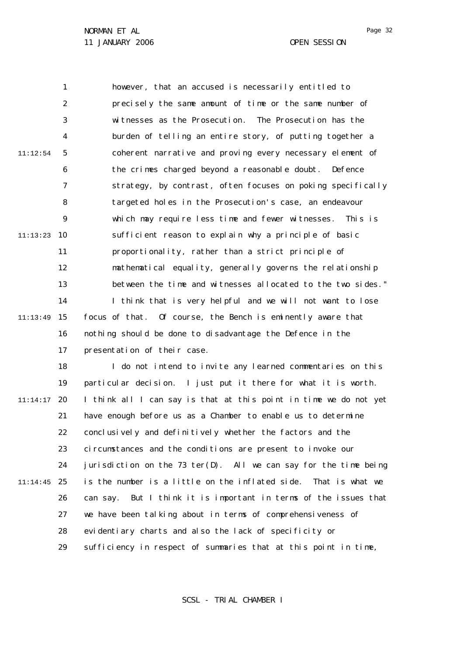1 2 3 4 5 6 7 8  $\mathsf{Q}$ 10 11:13:23 11 12 13 14 15 11:13:49 16 17 18 19 20 11:14:17 21 22 23 24 25 11:14:45 26 27 28 29 11:12:54 however, that an accused is necessarily entitled to precisely the same amount of time or the same number of witnesses as the Prosecution. The Prosecution has the burden of telling an entire story, of putting together a coherent narrative and proving every necessary element of the crimes charged beyond a reasonable doubt. Defence strategy, by contrast, often focuses on poking specifically targeted holes in the Prosecution's case, an endeavour which may require less time and fewer witnesses. This is sufficient reason to explain why a principle of basic proportionality, rather than a strict principle of mathematical equality, generally governs the relationship between the time and witnesses allocated to the two sides." I think that is very helpful and we will not want to lose focus of that. Of course, the Bench is eminently aware that nothing should be done to disadvantage the Defence in the presentation of their case. I do not intend to invite any learned commentaries on this particular decision. I just put it there for what it is worth. I think all I can say is that at this point in time we do not yet have enough before us as a Chamber to enable us to determine conclusively and definitively whether the factors and the circumstances and the conditions are present to invoke our jurisdiction on the 73 *ter*(D). All we can say for the time being is the number is a little on the inflated side. That is what we can say. But I think it is important in terms of the issues that we have been talking about in terms of comprehensiveness of evidentiary charts and also the lack of specificity or sufficiency in respect of summaries that at this point in time,

SCSL - TRIAL CHAMBER I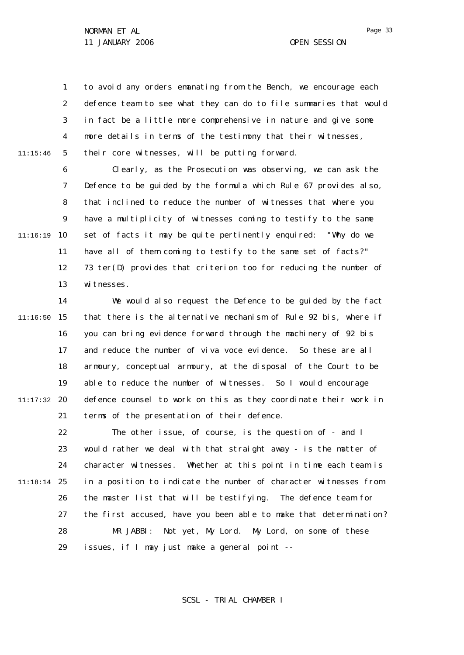1 2 3 4 5 11:15:46 to avoid any orders emanating from the Bench, we encourage each defence team to see what they can do to file summaries that would in fact be a little more comprehensive in nature and give some more details in terms of the testimony that their witnesses, their core witnesses, will be putting forward.

6 7 8  $\mathsf{Q}$ 10 11:16:19 11 12 13 Clearly, as the Prosecution was observing, we can ask the Defence to be guided by the formula which Rule 67 provides also, that inclined to reduce the number of witnesses that where you have a multiplicity of witnesses coming to testify to the same set of facts it may be quite pertinently enquired: "Why do we have all of them coming to testify to the same set of facts?" 73 *ter*(D) provides that criterion too for reducing the number of witnesses.

14 15 11:16:50 16 17 18 19 20 11:17:32 21 We would also request the Defence to be guided by the fact that there is the alternative mechanism of Rule 92 *bis,* where if you can bring evidence forward through the machinery of 92 *bis* and reduce the number of *viva voce* evidence. So these are all armoury, conceptual armoury, at the disposal of the Court to be able to reduce the number of witnesses. So I would encourage defence counsel to work on this as they coordinate their work in terms of the presentation of their defence.

22 23 24 25 11:18:14 26 27 28 29 The other issue, of course, is the question of - and I would rather we deal with that straight away - is the matter of character witnesses. Whether at this point in time each team is in a position to indicate the number of character witnesses from the master list that will be testifying. The defence team for the first accused, have you been able to make that determination? MR JABBI: Not yet, My Lord. My Lord, on some of these issues, if I may just make a general point --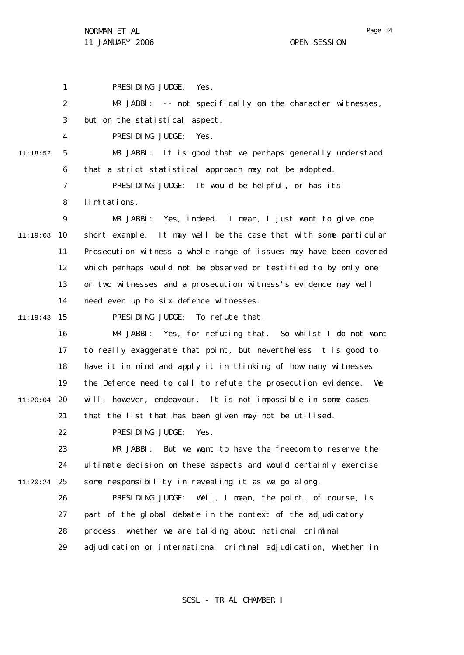1 2 3 4 5 6 7 8  $\mathsf{Q}$ 11:19:08 10 11 12 13 14 15 11:19:43 16 17 18 19 20 11:20:04 21 22 23 24 25 11:20:24 26 27 28 29 11:18:52 PRESIDING JUDGE: Yes. MR JABBI: -- not specifically on the character witnesses, but on the statistical aspect. PRESIDING JUDGE: Yes. MR JABBI: It is good that we perhaps generally understand that a strict statistical approach may not be adopted. PRESIDING JUDGE: It would be helpful, or has its limitations. MR JABBI: Yes, indeed. I mean, I just want to give one short example. It may well be the case that with some particular Prosecution witness a whole range of issues may have been covered which perhaps would not be observed or testified to by only one or two witnesses and a prosecution witness's evidence may well need even up to six defence witnesses. PRESIDING JUDGE: To refute that. MR JABBI: Yes, for refuting that. So whilst I do not want to really exaggerate that point, but nevertheless it is good to have it in mind and apply it in thinking of how many witnesses the Defence need to call to refute the prosecution evidence. We will, however, endeavour. It is not impossible in some cases that the list that has been given may not be utilised. PRESIDING JUDGE: Yes. MR JABBI: But we want to have the freedom to reserve the ultimate decision on these aspects and would certainly exercise some responsibility in revealing it as we go along. PRESIDING JUDGE: Well, I mean, the point, of course, is part of the global debate in the context of the adjudicatory process, whether we are talking about national criminal adjudication or international criminal adjudication, whether in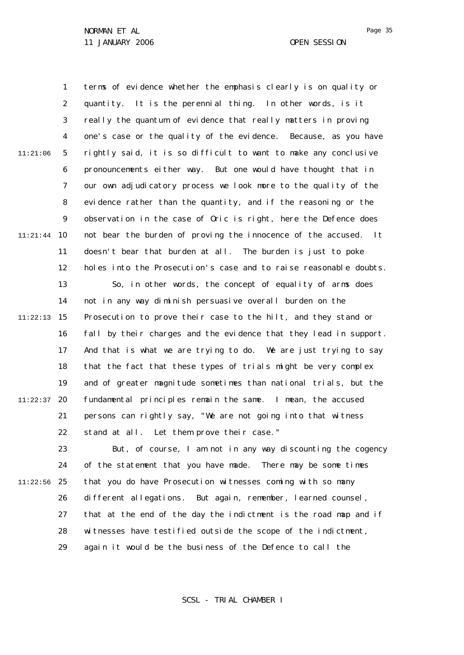1 2 3 4 5 6 7 8  $\mathsf{Q}$ 10 11:21:44 11 12 13 14 15 11:22:13 16 17 18 19 20 11:22:37 21 22 23 24 25 11:22:56 26 27 28 29 11:21:06 terms of evidence whether the emphasis clearly is on quality or quantity. It is the perennial thing. In other words, is it really the quantum of evidence that really matters in proving one's case or the quality of the evidence. Because, as you have rightly said, it is so difficult to want to make any conclusive pronouncements either way. But one would have thought that in our own adjudicatory process we look more to the quality of the evidence rather than the quantity, and if the reasoning or the observation in the case of *Oric* is right, here the Defence does not bear the burden of proving the innocence of the accused. It doesn't bear that burden at all. The burden is just to poke holes into the Prosecution's case and to raise reasonable doubts. So, in other words, the concept of equality of arms does not in any way diminish persuasive overall burden on the Prosecution to prove their case to the hilt, and they stand or fall by their charges and the evidence that they lead in support. And that is what we are trying to do. We are just trying to say that the fact that these types of trials might be very complex and of greater magnitude sometimes than national trials, but the fundamental principles remain the same. I mean, the accused persons can rightly say, "We are not going into that witness stand at all. Let them prove their case." But, of course, I am not in any way discounting the cogency of the statement that you have made. There may be some times that you do have Prosecution witnesses coming with so many different allegations. But again, remember, learned counsel, that at the end of the day the indictment is the road map and if witnesses have testified outside the scope of the indictment, again it would be the business of the Defence to call the

SCSL - TRIAL CHAMBER I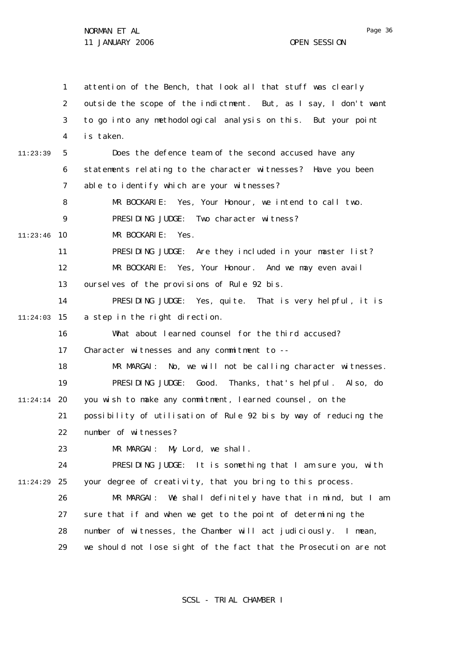1 2 3 4 5 6 7 8  $\mathsf{Q}$ 10 11:23:46 11 12 13 14 15 11:24:03 16 17 18 19 20 11:24:14 21 22 23 24 25 11:24:29 26 27 28 29 11:23:39 attention of the Bench, that look all that stuff was clearly outside the scope of the indictment. But, as I say, I don't want to go into any methodological analysis on this. But your point is taken. Does the defence team of the second accused have any statements relating to the character witnesses? Have you been able to identify which are your witnesses? MR BOCKARIE: Yes, Your Honour, we intend to call two. PRESIDING JUDGE: Two character witness? MR BOCKARIE: Yes. PRESIDING JUDGE: Are they included in your master list? MR BOCKARIE: Yes, Your Honour. And we may even avail ourselves of the provisions of Rule 92 *bis*. PRESIDING JUDGE: Yes, quite. That is very helpful, it is a step in the right direction. What about learned counsel for the third accused? Character witnesses and any commitment to --MR MARGAI: No, we will not be calling character witnesses. PRESIDING JUDGE: Good. Thanks, that's helpful. Also, do you wish to make any commitment, learned counsel, on the possibility of utilisation of Rule 92 *bis* by way of reducing the number of witnesses? MR MARGAI: My Lord, we shall. PRESIDING JUDGE: It is something that I am sure you, with your degree of creativity, that you bring to this process. MR MARGAI: We shall definitely have that in mind, but I am sure that if and when we get to the point of determining the number of witnesses, the Chamber will act judiciously. I mean, we should not lose sight of the fact that the Prosecution are not

SCSL - TRIAL CHAMBER I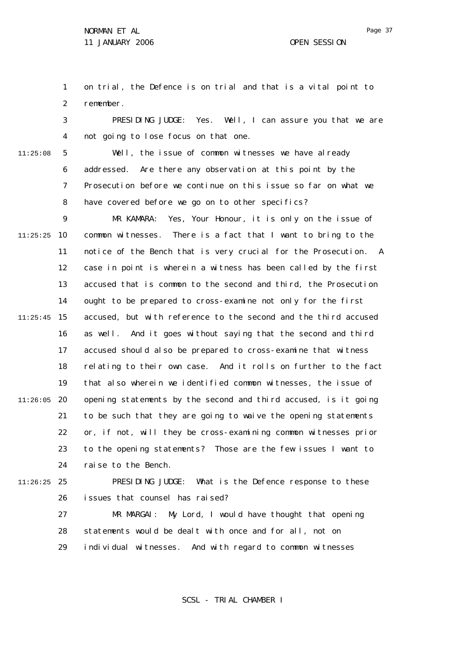1 2 on trial, the Defence is on trial and that is a vital point to remember.

3 4 PRESIDING JUDGE: Yes. Well, I can assure you that we are not going to lose focus on that one.

11:25:08

5 6 7 8 Well, the issue of common witnesses we have already addressed. Are there any observation at this point by the Prosecution before we continue on this issue so far on what we have covered before we go on to other specifics?

 $\mathsf{Q}$ 10 11:25:25 11 12 13 14 15 11:25:45 16 17 18 19 20 11:26:05 21 22 23 24 MR KAMARA: Yes, Your Honour, it is only on the issue of common witnesses. There is a fact that I want to bring to the notice of the Bench that is very crucial for the Prosecution. A case in point is wherein a witness has been called by the first accused that is common to the second and third, the Prosecution ought to be prepared to cross-examine not only for the first accused, but with reference to the second and the third accused as well. And it goes without saying that the second and third accused should also be prepared to cross-examine that witness relating to their own case. And it rolls on further to the fact that also wherein we identified common witnesses, the issue of opening statements by the second and third accused, is it going to be such that they are going to waive the opening statements or, if not, will they be cross-examining common witnesses prior to the opening statements? Those are the few issues I want to raise to the Bench.

25 11:26:25

26 PRESIDING JUDGE: What is the Defence response to these issues that counsel has raised?

27 28 29 MR MARGAI: My Lord, I would have thought that opening statements would be dealt with once and for all, not on individual witnesses. And with regard to common witnesses

SCSL - TRIAL CHAMBER I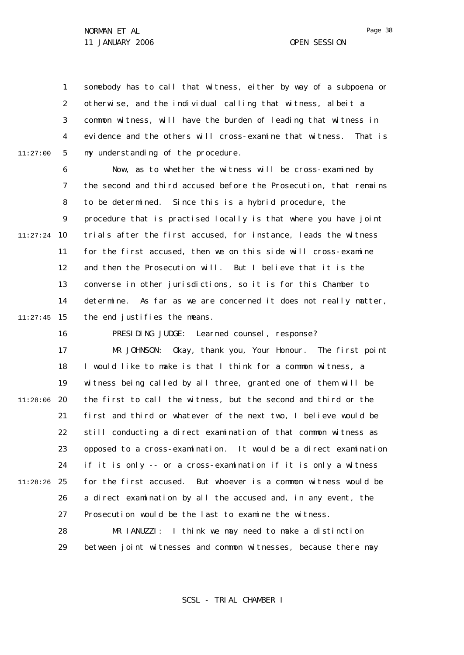11:27:00

1 2 3 4 5 somebody has to call that witness, either by way of a subpoena or otherwise, and the individual calling that witness, albeit a common witness, will have the burden of leading that witness in evidence and the others will cross-examine that witness. That is my understanding of the procedure.

6 7 8  $\mathsf{Q}$ 10 11:27:24 11 12 13 14 15 11:27:45 Now, as to whether the witness will be cross-examined by the second and third accused before the Prosecution, that remains to be determined. Since this is a hybrid procedure, the procedure that is practised locally is that where you have joint trials after the first accused, for instance, leads the witness for the first accused, then we on this side will cross-examine and then the Prosecution will. But I believe that it is the converse in other jurisdictions, so it is for this Chamber to determine. As far as we are concerned it does not really matter, the end justifies the means.

16 17 18 19 20 11:28:06 21 22 23 24 25 11:28:26 26 27 28 29 PRESIDING JUDGE: Learned counsel, response? MR JOHNSON: Okay, thank you, Your Honour. The first point I would like to make is that I think for a common witness, a witness being called by all three, granted one of them will be the first to call the witness, but the second and third or the first and third or whatever of the next two, I believe would be still conducting a direct examination of that common witness as opposed to a cross-examination. It would be a direct examination if it is only -- or a cross-examination if it is only a witness for the first accused. But whoever is a common witness would be a direct examination by all the accused and, in any event, the Prosecution would be the last to examine the witness. MR IANUZZI: I think we may need to make a distinction between joint witnesses and common witnesses, because there may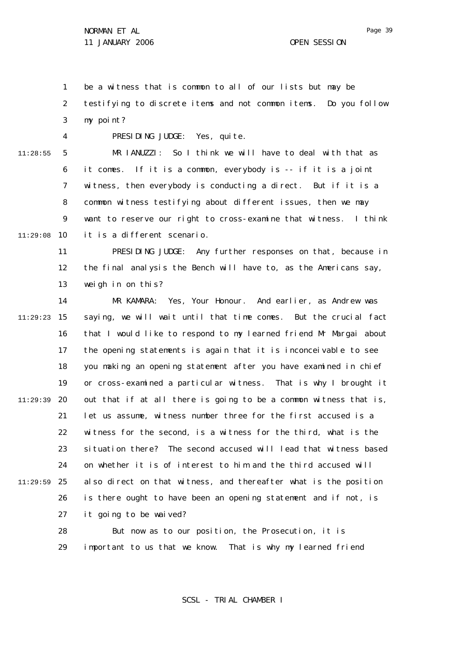1 2 3 be a witness that is common to all of our lists but may be testifying to discrete items and not common items. Do you follow my point?

4

PRESIDING JUDGE: Yes, quite.

5 6 7 8  $\mathsf{Q}$ 10 11:29:08 11:28:55 MR IANUZZI: So I think we will have to deal with that as it comes. If it is a common, everybody is -- if it is a joint witness, then everybody is conducting a direct. But if it is a common witness testifying about different issues, then we may want to reserve our right to cross-examine that witness. I think it is a different scenario.

11 12 13 PRESIDING JUDGE: Any further responses on that, because in the final analysis the Bench will have to, as the Americans say, weigh in on this?

14 15 11:29:23 16 17 18 19 20 11:29:39 21 22 23 24 25 11:29:59 26 27 28 MR KAMARA: Yes, Your Honour. And earlier, as Andrew was saying, we will wait until that time comes. But the crucial fact that I would like to respond to my learned friend Mr Margai about the opening statements is again that it is inconceivable to see you making an opening statement after you have examined in chief or cross-examined a particular witness. That is why I brought it out that if at all there is going to be a common witness that is, let us assume, witness number three for the first accused is a witness for the second, is a witness for the third, what is the situation there? The second accused will lead that witness based on whether it is of interest to him and the third accused will also direct on that witness, and thereafter what is the position is there ought to have been an opening statement and if not, is it going to be waived? But now as to our position, the Prosecution, it is

> 29 important to us that we know. That is why my learned friend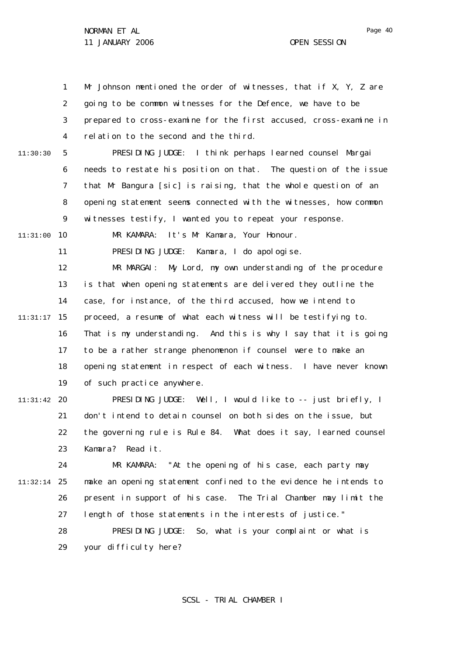1 2 3 4 5 6 7 8  $\mathsf{Q}$ 10 11:31:00 11 12 13 14 15 11:31:17 16 17 18 19 20 11:31:42 21 22 23 24 25 11:32:14 26 27 28 29 11:30:30 Mr Johnson mentioned the order of witnesses, that if X, Y, Z are going to be common witnesses for the Defence, we have to be prepared to cross-examine for the first accused, cross-examine in relation to the second and the third. PRESIDING JUDGE: I think perhaps learned counsel Margai needs to restate his position on that. The question of the issue that Mr Bangura [sic] is raising, that the whole question of an opening statement seems connected with the witnesses, how common witnesses testify, I wanted you to repeat your response. MR KAMARA: It's Mr Kamara, Your Honour. PRESIDING JUDGE: Kamara, I do apologise. MR MARGAI: My Lord, my own understanding of the procedure is that when opening statements are delivered they outline the case, for instance, of the third accused, how we intend to proceed, a resume of what each witness will be testifying to. That is my understanding. And this is why I say that it is going to be a rather strange phenomenon if counsel were to make an opening statement in respect of each witness. I have never known of such practice anywhere. PRESIDING JUDGE: Well, I would like to -- just briefly, I don't intend to detain counsel on both sides on the issue, but the governing rule is Rule 84. What does it say, learned counsel Kamara? Read it. MR KAMARA: "At the opening of his case, each party may make an opening statement confined to the evidence he intends to present in support of his case. The Trial Chamber may limit the length of those statements in the interests of justice." PRESIDING JUDGE: So, what is your complaint or what is your difficulty here?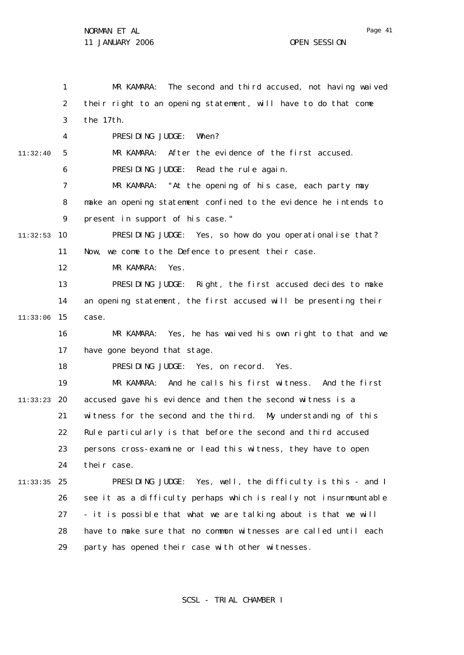1 2 3 4 5 6 7 8  $\mathsf{Q}$ 10 11:32:53 11 12 13 14 15 11:33:06 16 17 18 19 20 11:33:23 21 22 23 24 25 11:33:35 26 27 28 29 11:32:40 MR KAMARA: The second and third accused, not having waived their right to an opening statement, will have to do that come the 17th. PRESIDING JUDGE: When? MR KAMARA: After the evidence of the first accused. PRESIDING JUDGE: Read the rule again. MR KAMARA: "At the opening of his case, each party may make an opening statement confined to the evidence he intends to present in support of his case." PRESIDING JUDGE: Yes, so how do you operationalise that? Now, we come to the Defence to present their case. MR KAMARA: Yes. PRESIDING JUDGE: Right, the first accused decides to make an opening statement, the first accused will be presenting their case. MR KAMARA: Yes, he has waived his own right to that and we have gone beyond that stage. PRESIDING JUDGE: Yes, on record. Yes. MR KAMARA: And he calls his first witness. And the first accused gave his evidence and then the second witness is a witness for the second and the third. My understanding of this Rule particularly is that before the second and third accused persons cross-examine or lead this witness, they have to open their case. PRESIDING JUDGE: Yes, well, the difficulty is this - and I see it as a difficulty perhaps which is really not insurmountable - it is possible that what we are talking about is that we will have to make sure that no common witnesses are called until each party has opened their case with other witnesses.

SCSL - TRIAL CHAMBER I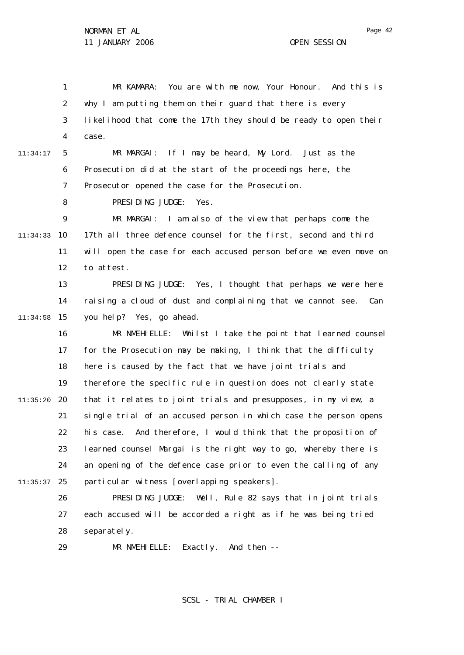1 2 3 4 MR KAMARA: You are with me now, Your Honour. And this is why I am putting them on their guard that there is every likelihood that come the 17th they should be ready to open their case.

5 6 7 11:34:17 MR MARGAI: If I may be heard, My Lord. Just as the Prosecution did at the start of the proceedings here, the Prosecutor opened the case for the Prosecution.

> 8 PRESIDING JUDGE: Yes.

 $\mathsf{Q}$ 10 11:34:33 11 12 MR MARGAI: I am also of the view that perhaps come the 17th all three defence counsel for the first, second and third will open the case for each accused person before we even move on to attest.

13 14 15 11:34:58 PRESIDING JUDGE: Yes, I thought that perhaps we were here raising a cloud of dust and complaining that we cannot see. Can you help? Yes, go ahead.

16 17 18 19 20 11:35:20 21 22 23 24 25 11:35:37 MR NMEHIELLE: Whilst I take the point that learned counsel for the Prosecution may be making, I think that the difficulty here is caused by the fact that we have joint trials and therefore the specific rule in question does not clearly state that it relates to joint trials and presupposes, in my view, a single trial of an accused person in which case the person opens his case. And therefore, I would think that the proposition of learned counsel Margai is the right way to go, whereby there is an opening of the defence case prior to even the calling of any particular witness [overlapping speakers].

26 27 28 PRESIDING JUDGE: Well, Rule 82 says that in joint trials each accused will be accorded a right as if he was being tried separately.

29 MR NMEHIELLE: Exactly. And then --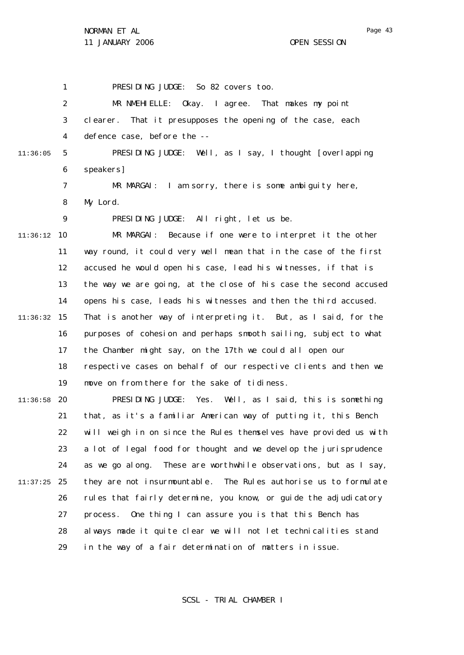Page 43

1 2 3 4 5 6 7 8  $\mathsf{Q}$ 10 11:36:12 11 12 13 14 15 11:36:32 16 17 18 19 20 11:36:58 21 22 23 24 25 11:37:25 26 27 28 29 11:36:05 PRESIDING JUDGE: So 82 covers too. MR NMEHIELLE: Okay. I agree. That makes my point clearer. That it presupposes the opening of the case, each defence case, before the -- PRESIDING JUDGE: Well, as I say, I thought [overlapping speakers] MR MARGAI: I am sorry, there is some ambiguity here, My Lord. PRESIDING JUDGE: All right, let us be. MR MARGAI: Because if one were to interpret it the other way round, it could very well mean that in the case of the first accused he would open his case, lead his witnesses, if that is the way we are going, at the close of his case the second accused opens his case, leads his witnesses and then the third accused. That is another way of interpreting it. But, as I said, for the purposes of cohesion and perhaps smooth sailing, subject to what the Chamber might say, on the 17th we could all open our respective cases on behalf of our respective clients and then we move on from there for the sake of tidiness. PRESIDING JUDGE: Yes. Well, as I said, this is something that, as it's a familiar American way of putting it, this Bench will weigh in on since the Rules themselves have provided us with a lot of legal food for thought and we develop the jurisprudence as we go along. These are worthwhile observations, but as I say, they are not insurmountable. The Rules authorise us to formulate rules that fairly determine, you know, or guide the adjudicatory process. One thing I can assure you is that this Bench has always made it quite clear we will not let technicalities stand in the way of a fair determination of matters in issue.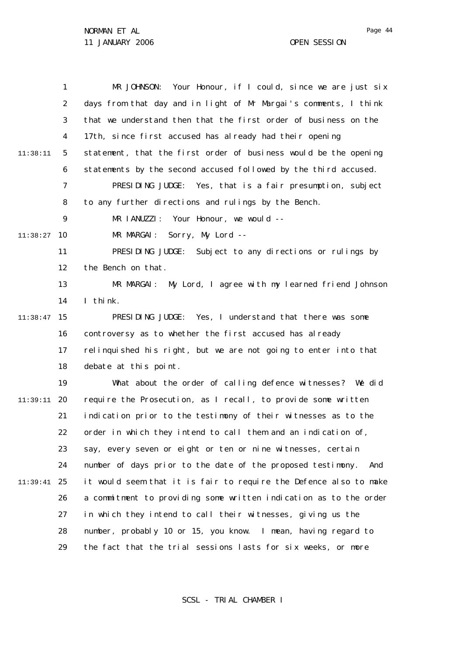1 2 3 4 5 6 7 8  $\mathsf{Q}$ 10 11:38:27 11 12 13 14 15 11:38:47 16 17 18 19 20 11:39:11 21 22 23 24 25 11:39:41 26 27 28 29 11:38:11 MR JOHNSON: Your Honour, if I could, since we are just six days from that day and in light of Mr Margai's comments, I think that we understand then that the first order of business on the 17th, since first accused has already had their opening statement, that the first order of business would be the opening statements by the second accused followed by the third accused. PRESIDING JUDGE: Yes, that is a fair presumption, subject to any further directions and rulings by the Bench. MR IANUZZI: Your Honour, we would --MR MARGAI: Sorry, My Lord -- PRESIDING JUDGE: Subject to any directions or rulings by the Bench on that. MR MARGAI: My Lord, I agree with my learned friend Johnson I think. PRESIDING JUDGE: Yes, I understand that there was some controversy as to whether the first accused has already relinquished his right, but we are not going to enter into that debate at this point. What about the order of calling defence witnesses? We did require the Prosecution, as I recall, to provide some written indication prior to the testimony of their witnesses as to the order in which they intend to call them and an indication of, say, every seven or eight or ten or nine witnesses, certain number of days prior to the date of the proposed testimony. And it would seem that it is fair to require the Defence also to make a commitment to providing some written indication as to the order in which they intend to call their witnesses, giving us the number, probably 10 or 15, you know. I mean, having regard to the fact that the trial sessions lasts for six weeks, or more

SCSL - TRIAL CHAMBER I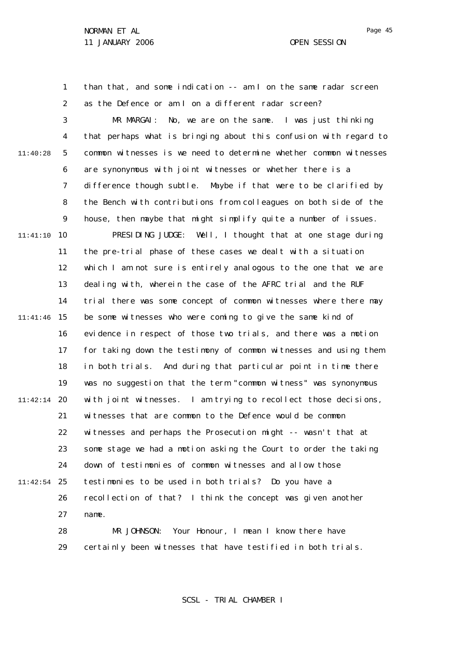1

than that, and some indication -- am I on the same radar screen

2 3 4 5 6 7 8  $\mathsf{Q}$ 10 11:41:10 11 12 13 14 15 11:41:46 16 17 18 19 20 11:42:14 21 22 23 24 25 11:42:54 26 27 28 29 11:40:28 as the Defence or am I on a different radar screen? MR MARGAI: No, we are on the same. I was just thinking that perhaps what is bringing about this confusion with regard to common witnesses is we need to determine whether common witnesses are synonymous with joint witnesses or whether there is a difference though subtle. Maybe if that were to be clarified by the Bench with contributions from colleagues on both side of the house, then maybe that might simplify quite a number of issues. PRESIDING JUDGE: Well, I thought that at one stage during the pre-trial phase of these cases we dealt with a situation which I am not sure is entirely analogous to the one that we are dealing with, wherein the case of the AFRC trial and the RUF trial there was some concept of common witnesses where there may be some witnesses who were coming to give the same kind of evidence in respect of those two trials, and there was a motion for taking down the testimony of common witnesses and using them in both trials. And during that particular point in time there was no suggestion that the term "common witness" was synonymous with joint witnesses. I am trying to recollect those decisions, witnesses that are common to the Defence would be common witnesses and perhaps the Prosecution might -- wasn't that at some stage we had a motion asking the Court to order the taking down of testimonies of common witnesses and allow those testimonies to be used in both trials? Do you have a recollection of that? I think the concept was given another name. MR JOHNSON: Your Honour, I mean I know there have certainly been witnesses that have testified in both trials.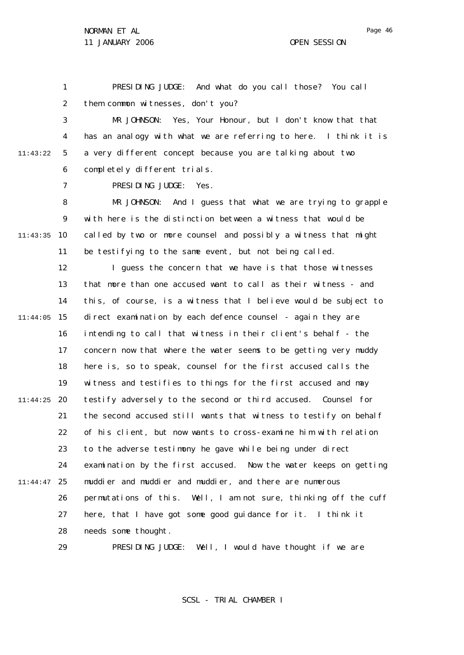Page 46

1 2 PRESIDING JUDGE: And what do you call those? You call them common witnesses, don't you?

3 4 5 6 11:43:22 MR JOHNSON: Yes, Your Honour, but I don't know that that has an analogy with what we are referring to here. I think it is a very different concept because you are talking about two completely different trials.

PRESIDING JUDGE: Yes.

7

8  $\mathsf{Q}$ 10 11:43:35 11 MR JOHNSON: And I guess that what we are trying to grapple with here is the distinction between a witness that would be called by two or more counsel and possibly a witness that might be testifying to the same event, but not being called.

12 13 14 15 11:44:05 16 17 18 19 20 11:44:25 21 22 23 24 25 11:44:47 26 27 28 I guess the concern that we have is that those witnesses that more than one accused want to call as their witness - and this, of course, is a witness that I believe would be subject to direct examination by each defence counsel - again they are intending to call that witness in their client's behalf - the concern now that where the water seems to be getting very muddy here is, so to speak, counsel for the first accused calls the witness and testifies to things for the first accused and may testify adversely to the second or third accused. Counsel for the second accused still wants that witness to testify on behalf of his client, but now wants to cross-examine him with relation to the adverse testimony he gave while being under direct examination by the first accused. Now the water keeps on getting muddier and muddier and muddier, and there are numerous permutations of this. Well, I am not sure, thinking off the cuff here, that I have got some good guidance for it. I think it needs some thought.

> 29 PRESIDING JUDGE: Well, I would have thought if we are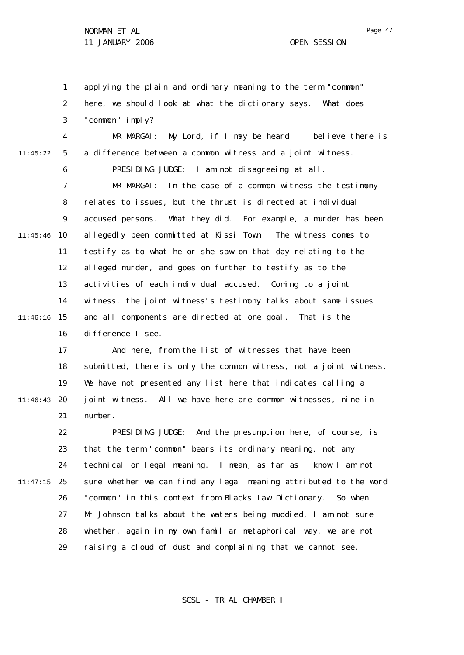1 2 3 4 5 6 7 8  $\mathsf{Q}$ 10 11:45:46 11 12 13 14 15 11:46:16 16 17 18 19 20 11:46:43 21 22 23 24 25 11:47:15 26 27 28 29 11:45:22 applying the plain and ordinary meaning to the term "common" here, we should look at what the dictionary says. What does "common" imply? MR MARGAI: My Lord, if I may be heard. I believe there is a difference between a common witness and a joint witness. PRESIDING JUDGE: I am not disagreeing at all. MR MARGAI: In the case of a common witness the testimony relates to issues, but the thrust is directed at individual accused persons. What they did. For example, a murder has been allegedly been committed at Kissi Town. The witness comes to testify as to what he or she saw on that day relating to the alleged murder, and goes on further to testify as to the activities of each individual accused. Coming to a joint witness, the joint witness's testimony talks about same issues and all components are directed at one goal. That is the difference I see. And here, from the list of witnesses that have been submitted, there is only the common witness, not a joint witness. We have not presented any list here that indicates calling a joint witness. All we have here are common witnesses, nine in number. PRESIDING JUDGE: And the presumption here, of course, is that the term "common" bears its ordinary meaning, not any technical or legal meaning. I mean, as far as I know I am not sure whether we can find any legal meaning attributed to the word "common" in this context from Blacks Law Dictionary. So when Mr Johnson talks about the waters being muddied, I am not sure whether, again in my own familiar metaphorical way, we are not raising a cloud of dust and complaining that we cannot see.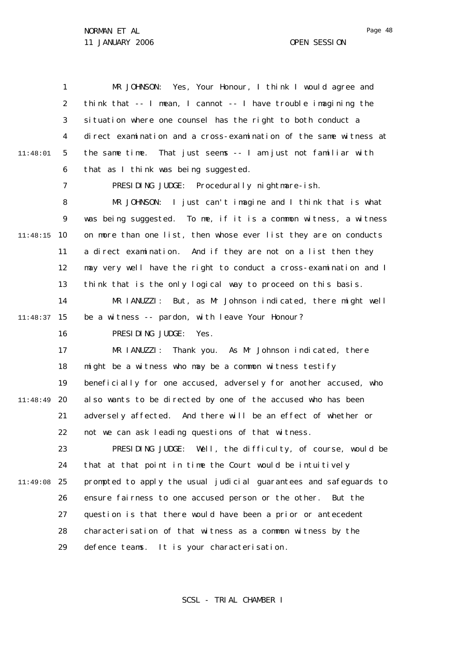1 2 3 4 5 6 7 8  $\mathsf{Q}$ 10 11:48:15 11 12 13 14 15 11:48:37 16 17 18 19 20 11:48:49 21 22 23 24 25 11:49:08 26 27 28 29 11:48:01 MR JOHNSON: Yes, Your Honour, I think I would agree and think that -- I mean, I cannot -- I have trouble imagining the situation where one counsel has the right to both conduct a direct examination and a cross-examination of the same witness at the same time. That just seems -- I am just not familiar with that as I think was being suggested. PRESIDING JUDGE: Procedurally nightmare-ish. MR JOHNSON: I just can't imagine and I think that is what was being suggested. To me, if it is a common witness, a witness on more than one list, then whose ever list they are on conducts a direct examination. And if they are not on a list then they may very well have the right to conduct a cross-examination and I think that is the only logical way to proceed on this basis. MR IANUZZI: But, as Mr Johnson indicated, there might well be a witness -- pardon, with leave Your Honour? PRESIDING JUDGE: Yes. MR IANUZZI: Thank you. As Mr Johnson indicated, there might be a witness who may be a common witness testify beneficially for one accused, adversely for another accused, who also wants to be directed by one of the accused who has been adversely affected. And there will be an effect of whether or not we can ask leading questions of that witness. PRESIDING JUDGE: Well, the difficulty, of course, would be that at that point in time the Court would be intuitively prompted to apply the usual judicial guarantees and safeguards to ensure fairness to one accused person or the other. But the question is that there would have been a prior or antecedent characterisation of that witness as a common witness by the defence teams. It is your characterisation.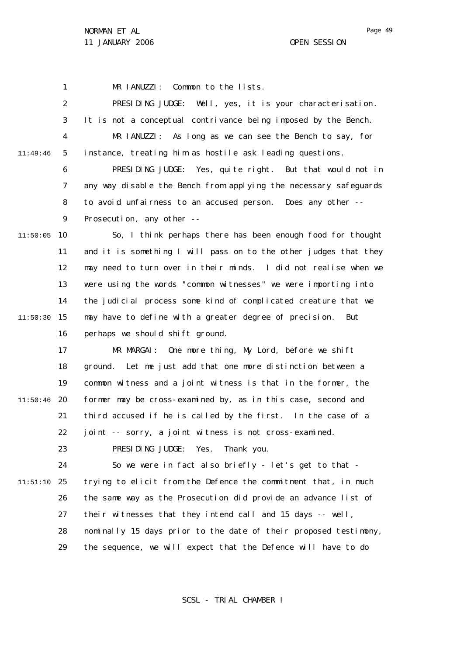1 MR IANUZZI: Common to the lists.

2 3 4 5 6 7 8  $\mathsf{Q}$ 10 11:50:05 11 12 13 14 15 11:50:30 11:49:46 PRESIDING JUDGE: Well, yes, it is your characterisation. It is not a conceptual contrivance being imposed by the Bench. MR IANUZZI: As long as we can see the Bench to say, for instance, treating him as hostile ask leading questions. PRESIDING JUDGE: Yes, quite right. But that would not in any way disable the Bench from applying the necessary safeguards to avoid unfairness to an accused person. Does any other -- Prosecution, any other -- So, I think perhaps there has been enough food for thought and it is something I will pass on to the other judges that they may need to turn over in their minds. I did not realise when we were using the words "common witnesses" we were importing into the judicial process some kind of complicated creature that we may have to define with a greater degree of precision. But

16 perhaps we should shift ground.

17 18 19 20 11:50:46 21 22 MR MARGAI: One more thing, My Lord, before we shift ground. Let me just add that one more distinction between a common witness and a joint witness is that in the former, the former may be cross-examined by, as in this case, second and third accused if he is called by the first. In the case of a joint -- sorry, a joint witness is not cross-examined.

> 23 PRESIDING JUDGE: Yes. Thank you.

24 25 11:51:10 26 27 28 29 So we were in fact also briefly - let's get to that trying to elicit from the Defence the commitment that, in much the same way as the Prosecution did provide an advance list of their witnesses that they intend call and 15 days -- well, nominally 15 days prior to the date of their proposed testimony, the sequence, we will expect that the Defence will have to do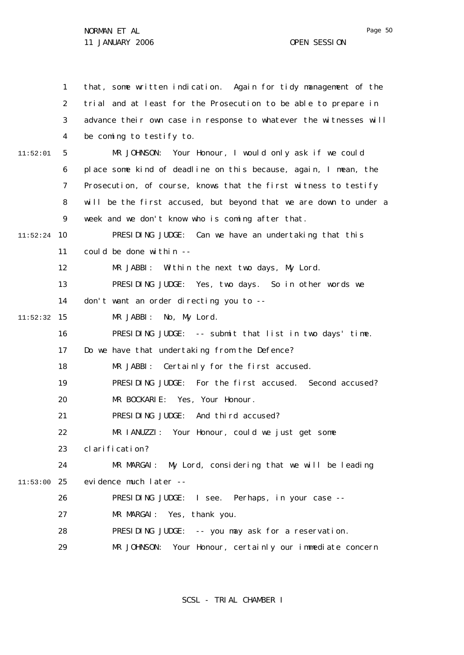1 2 3 4 5 6 7 8  $\mathsf{Q}$ 10 11:52:24 11 12 13 14 15 11:52:32 16 17 18 19 20 21 22 23 24 25 11:53:00 26 27 28 29 11:52:01 that, some written indication. Again for tidy management of the trial and at least for the Prosecution to be able to prepare in advance their own case in response to whatever the witnesses will be coming to testify to. MR JOHNSON: Your Honour, I would only ask if we could place some kind of deadline on this because, again, I mean, the Prosecution, of course, knows that the first witness to testify will be the first accused, but beyond that we are down to under a week and we don't know who is coming after that. PRESIDING JUDGE: Can we have an undertaking that this could be done within  $-$ MR JABBI: Within the next two days, My Lord. PRESIDING JUDGE: Yes, two days. So in other words we don't want an order directing you to -- MR JABBI: No, My Lord. PRESIDING JUDGE: -- submit that list in two days' time. Do we have that undertaking from the Defence? MR JABBI: Certainly for the first accused. PRESIDING JUDGE: For the first accused. Second accused? MR BOCKARIE: Yes, Your Honour. PRESIDING JUDGE: And third accused? MR IANUZZI: Your Honour, could we just get some clarification? MR MARGAI: My Lord, considering that we will be leading evidence much later -- PRESIDING JUDGE: I see. Perhaps, in your case -- MR MARGAI: Yes, thank you. PRESIDING JUDGE: -- you may ask for a reservation. MR JOHNSON: Your Honour, certainly our immediate concern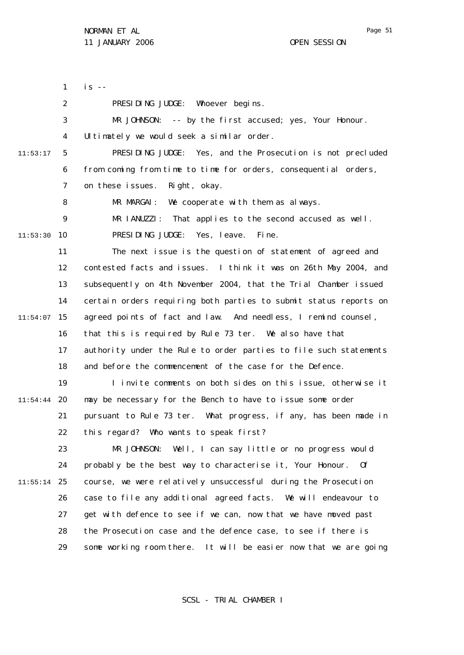1 2 3 4 5 6 7 8  $\mathsf{Q}$ 10 11:53:30 11 12 13 14 15 11:54:07 16 17 18 19 20 11:54:44 21 22 23 24 25 11:55:14 26 27 28 29 11:53:17  $is - -$ PRESIDING JUDGE: Whoever begins. MR JOHNSON: -- by the first accused; yes, Your Honour. Ultimately we would seek a similar order. PRESIDING JUDGE: Yes, and the Prosecution is not precluded from coming from time to time for orders, consequential orders, on these issues. Right, okay. MR MARGAI: We cooperate with them as always. MR IANUZZI: That applies to the second accused as well. PRESIDING JUDGE: Yes, leave. Fine. The next issue is the question of statement of agreed and contested facts and issues. I think it was on 26th May 2004, and subsequently on 4th November 2004, that the Trial Chamber issued certain orders requiring both parties to submit status reports on agreed points of fact and law. And needless, I remind counsel, that this is required by Rule 73 *ter*. We also have that authority under the Rule to order parties to file such statements and before the commencement of the case for the Defence. I invite comments on both sides on this issue, otherwise it may be necessary for the Bench to have to issue some order pursuant to Rule 73 *ter*. What progress, if any, has been made in this regard? Who wants to speak first? MR JOHNSON: Well, I can say little or no progress would probably be the best way to characterise it, Your Honour. Of course, we were relatively unsuccessful during the Prosecution case to file any additional agreed facts. We will endeavour to get with defence to see if we can, now that we have moved past the Prosecution case and the defence case, to see if there is some working room there. It will be easier now that we are going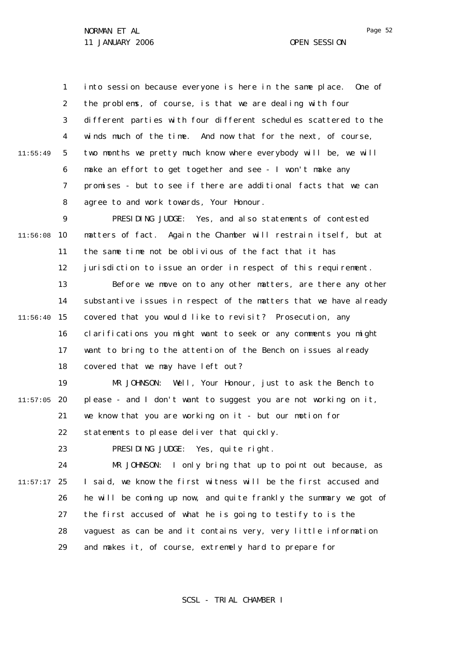1 2 3 4 5 6 7 8 11:55:49 into session because everyone is here in the same place. One of the problems, of course, is that we are dealing with four different parties with four different schedules scattered to the winds much of the time. And now that for the next, of course, two months we pretty much know where everybody will be, we will make an effort to get together and see - I won't make any promises - but to see if there are additional facts that we can agree to and work towards, Your Honour.

 $\mathsf{Q}$ 10 11:56:08 11 12 13 14 15 11:56:40 16 17 18 PRESIDING JUDGE: Yes, and also statements of contested matters of fact. Again the Chamber will restrain itself, but at the same time not be oblivious of the fact that it has jurisdiction to issue an order in respect of this requirement. Before we move on to any other matters, are there any other substantive issues in respect of the matters that we have already covered that you would like to revisit? Prosecution, any clarifications you might want to seek or any comments you might want to bring to the attention of the Bench on issues already covered that we may have left out?

19 20 11:57:05 21 22 MR JOHNSON: Well, Your Honour, just to ask the Bench to please - and I don't want to suggest you are not working on it, we know that you are working on it - but our motion for statements to please deliver that quickly.

> 23 PRESIDING JUDGE: Yes, quite right.

24 25 11:57:17 26 27 28 29 MR JOHNSON: I only bring that up to point out because, as I said, we know the first witness will be the first accused and he will be coming up now, and quite frankly the summary we got of the first accused of what he is going to testify to is the vaguest as can be and it contains very, very little information and makes it, of course, extremely hard to prepare for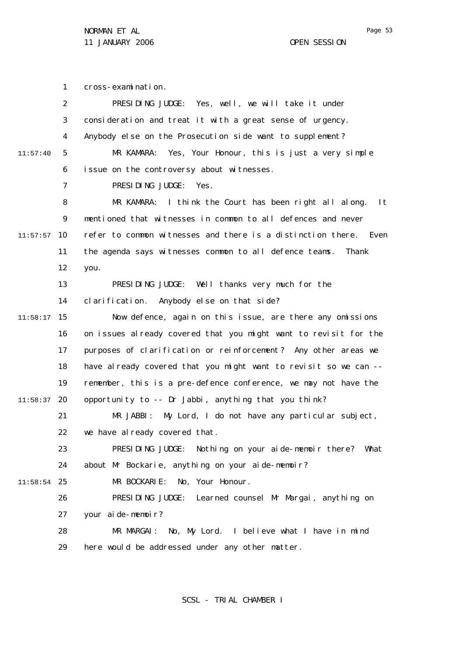1 2 3 4 5 6 7 8  $\mathsf{Q}$ 10 11:57:57 11 12 13 14 15 11:58:17 16 17 18 19 20 11:58:37 21 22 23 24 25 11:58:54 26 27 28 29 11:57:40 cross-examination. PRESIDING JUDGE: Yes, well, we will take it under consideration and treat it with a great sense of urgency. Anybody else on the Prosecution side want to supplement? MR KAMARA: Yes, Your Honour, this is just a very simple issue on the controversy about witnesses. PRESIDING JUDGE: Yes. MR KAMARA: I think the Court has been right all along. It mentioned that witnesses in common to all defences and never refer to common witnesses and there is a distinction there. Even the agenda says witnesses common to all defence teams. Thank you. PRESIDING JUDGE: Well thanks very much for the clarification. Anybody else on that side? Now defence, again on this issue, are there any omissions on issues already covered that you might want to revisit for the purposes of clarification or reinforcement? Any other areas we have already covered that you might want to revisit so we can -remember, this is a pre-defence conference, we may not have the opportunity to -- Dr Jabbi, anything that you think? MR JABBI: My Lord, I do not have any particular subject, we have already covered that. PRESIDING JUDGE: Nothing on your aide-memoir there? What about Mr Bockarie, anything on your aide-memoir? MR BOCKARIE: No, Your Honour. PRESIDING JUDGE: Learned counsel Mr Margai, anything on your aide-memoir? MR MARGAI: No, My Lord. I believe what I have in mind here would be addressed under any other matter.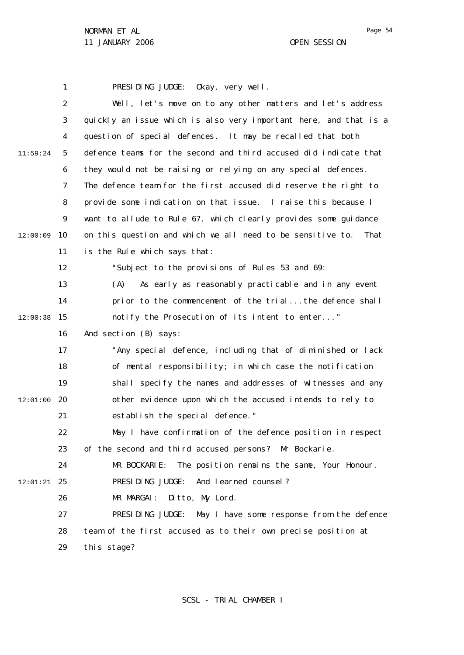1 2 3 4 5 6 7 8  $\mathsf{Q}$ 10 12:00:09 11 12 13 14 15 12:00:38 16 17 18 19 20 12:01:00 21 22 23  $24$ 25 12:01:21 26 27 28 29 11:59:24 PRESIDING JUDGE: Okay, very well. Well, let's move on to any other matters and let's address quickly an issue which is also very important here, and that is a question of special defences. It may be recalled that both defence teams for the second and third accused did indicate that they would not be raising or relying on any special defences. The defence team for the first accused did reserve the right to provide some indication on that issue. I raise this because I want to allude to Rule 67, which clearly provides some quidance on this question and which we all need to be sensitive to. That is the Rule which says that: "Subject to the provisions of Rules 53 and 69: (A) As early as reasonably practicable and in any event prior to the commencement of the trial...the defence shall notify the Prosecution of its intent to enter..." And section (B) says: "Any special defence, including that of diminished or lack of mental responsibility; in which case the notification shall specify the names and addresses of witnesses and any other evidence upon which the accused intends to rely to establish the special defence." May I have confirmation of the defence position in respect of the second and third accused persons? Mr Bockarie. MR BOCKARIE: The position remains the same, Your Honour. PRESIDING JUDGE: And learned counsel? MR MARGAI: Ditto, My Lord. PRESIDING JUDGE: May I have some response from the defence team of the first accused as to their own precise position at this stage?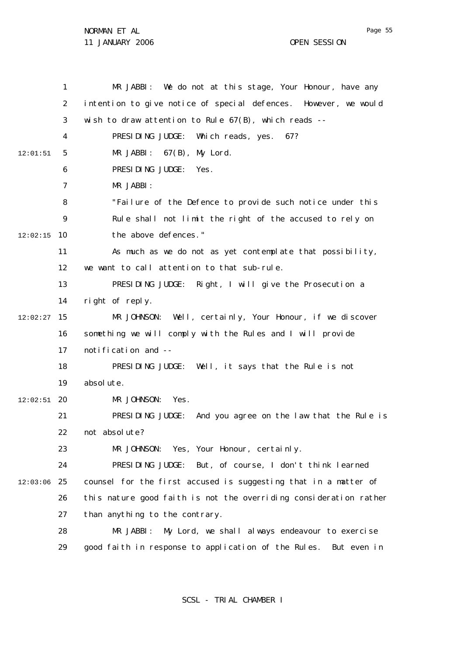1 2 3 4 5 6 7 8  $\mathsf{Q}$ 10 12:02:15 11 12 13 14 15 12:02:27 16 17 18 19 20 12:02:51 21 22 23  $24$ 25 12:03:06 26 27 28 29 12:01:51 MR JABBI: We do not at this stage, Your Honour, have any intention to give notice of special defences. However, we would wish to draw attention to Rule  $67(B)$ , which reads --PRESIDING JUDGE: Which reads, yes. 67? MR JABBI: 67(B), My Lord. PRESIDING JUDGE: Yes. MR JABBI: "Failure of the Defence to provide such notice under this Rule shall not limit the right of the accused to rely on the above defences." As much as we do not as yet contemplate that possibility, we want to call attention to that sub-rule. PRESIDING JUDGE: Right, I will give the Prosecution a right of reply. MR JOHNSON: Well, certainly, Your Honour, if we discover something we will comply with the Rules and I will provide notification and -- PRESIDING JUDGE: Well, it says that the Rule is not absolute. MR JOHNSON: Yes. PRESIDING JUDGE: And you agree on the law that the Rule is not absolute? MR JOHNSON: Yes, Your Honour, certainly. PRESIDING JUDGE: But, of course, I don't think learned counsel for the first accused is suggesting that in a matter of this nature good faith is not the overriding consideration rather than anything to the contrary. MR JABBI: My Lord, we shall always endeavour to exercise good faith in response to application of the Rules. But even in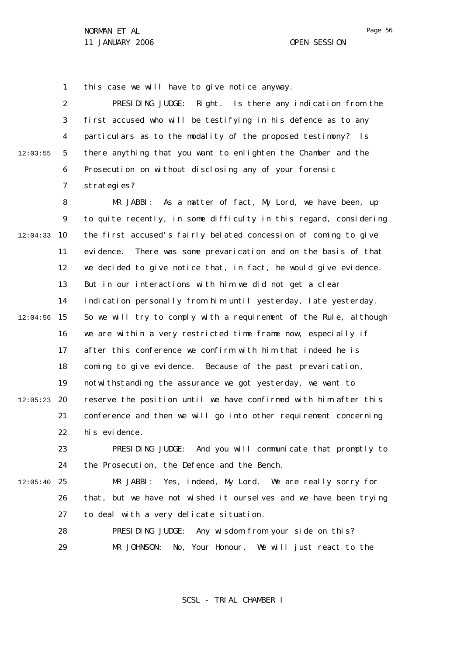1 this case we will have to give notice anyway.

2 3 4 5 6 7 12:03:55 PRESIDING JUDGE: Right. Is there any indication from the first accused who will be testifying in his defence as to any particulars as to the modality of the proposed testimony? Is there anything that you want to enlighten the Chamber and the Prosecution on without disclosing any of your forensic strategies?

8  $\mathsf{Q}$ 10 12:04:33 11 12 13 14 15 12:04:56 16 17 18 19 20 12:05:23 21 22 23 24 MR JABBI: As a matter of fact, My Lord, we have been, up to quite recently, in some difficulty in this regard, considering the first accused's fairly belated concession of coming to give evidence. There was some prevarication and on the basis of that we decided to give notice that, in fact, he would give evidence. But in our interactions with him we did not get a clear indication personally from him until yesterday, late yesterday. So we will try to comply with a requirement of the Rule, although we are within a very restricted time frame now, especially if after this conference we confirm with him that indeed he is coming to give evidence. Because of the past prevarication, notwithstanding the assurance we got yesterday, we want to reserve the position until we have confirmed with him after this conference and then we will go into other requirement concerning his evidence. PRESIDING JUDGE: And you will communicate that promptly to the Prosecution, the Defence and the Bench.

25 12:05:40

26 27 MR JABBI: Yes, indeed, My Lord. We are really sorry for that, but we have not wished it ourselves and we have been trying to deal with a very delicate situation.

28 29 PRESIDING JUDGE: Any wisdom from your side on this? MR JOHNSON: No, Your Honour. We will just react to the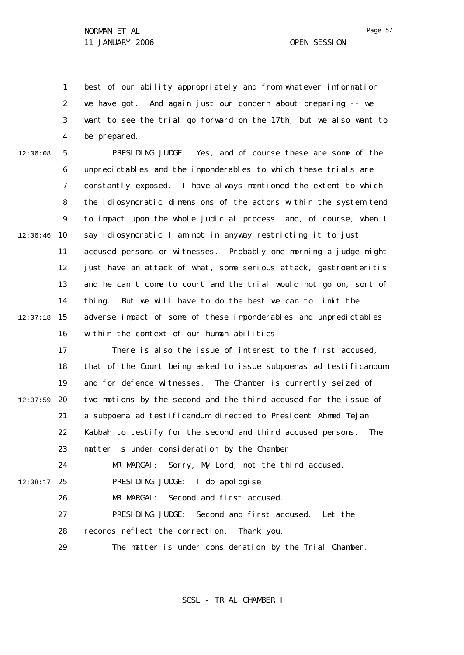1 2 3 4 best of our ability appropriately and from whatever information we have got. And again just our concern about preparing -- we want to see the trial go forward on the 17th, but we also want to be prepared.

5 6 7 8  $\mathsf{Q}$ 10 12:06:46 11 12 13 14 15 12:07:18 16 12:06:08 PRESIDING JUDGE: Yes, and of course these are some of the unpredictables and the imponderables to which these trials are constantly exposed. I have always mentioned the extent to which the idiosyncratic dimensions of the actors within the system tend to impact upon the whole judicial process, and, of course, when I say idiosyncratic I am not in anyway restricting it to just accused persons or witnesses. Probably one morning a judge might just have an attack of what, some serious attack, gastroenteritis and he can't come to court and the trial would not go on, sort of thing. But we will have to do the best we can to limit the adverse impact of some of these imponderables and unpredictables within the context of our human abilities.

17 18 19 20 21 22 23  $24$ 12:07:59 There is also the issue of interest to the first accused, that of the Court being asked to issue subpoenas *ad testificandum* and for defence witnesses. The Chamber is currently seized of two motions by the second and the third accused for the issue of a subpoena *ad testificandum* directed to President Ahmed Tejan Kabbah to testify for the second and third accused persons. The matter is under consideration by the Chamber. MR MARGAI: Sorry, My Lord, not the third accused.

25 12:08:17

26 MR MARGAI: Second and first accused.

27 PRESIDING JUDGE: Second and first accused. Let the

PRESIDING JUDGE: I do apologise.

28 records reflect the correction. Thank you.

29 The matter is under consideration by the Trial Chamber.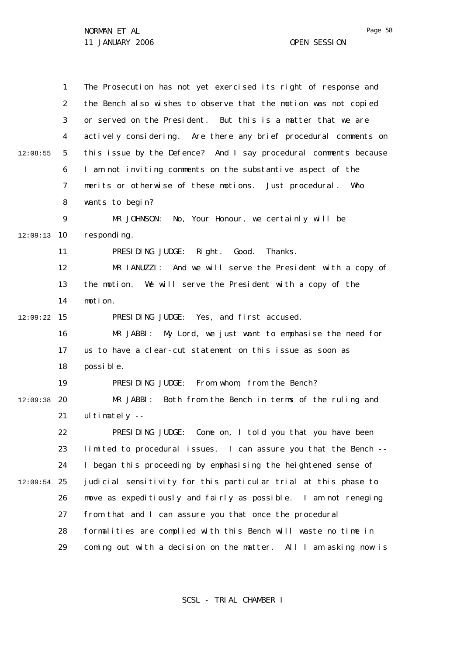|          | $\mathbf{1}$ | The Prosecution has not yet exercised its right of response and  |
|----------|--------------|------------------------------------------------------------------|
|          | 2            | the Bench also wishes to observe that the motion was not copied  |
|          |              |                                                                  |
|          | 3            | or served on the President. But this is a matter that we are     |
|          | 4            | actively considering. Are there any brief procedural comments on |
| 12:08:55 | 5            | this issue by the Defence? And I say procedural comments because |
|          | 6            | I am not inviting comments on the substantive aspect of the      |
|          | 7            | merits or otherwise of these motions. Just procedural.<br>Who    |
|          | 8            | wants to begin?                                                  |
|          | 9            | MR JOHNSON: No, Your Honour, we certainly will be                |
| 12:09:13 | 10           | responding.                                                      |
|          | 11           | PRESIDING JUDGE: Right. Good.<br>Thanks.                         |
|          | 12           | MR IANUZZI: And we will serve the President with a copy of       |
|          | 13           | the motion. We will serve the President with a copy of the       |
|          | 14           | motion.                                                          |
| 12:09:22 | 15           | PRESIDING JUDGE: Yes, and first accused.                         |
|          | 16           | My Lord, we just want to emphasise the need for<br>MR JABBI:     |
|          | 17           | us to have a clear-cut statement on this issue as soon as        |
|          | 18           | possible.                                                        |
|          | 19           | PRESIDING JUDGE: From whom, from the Bench?                      |
| 12:09:38 | 20           | MR JABBI:<br>Both from the Bench in terms of the ruling and      |
|          | 21           | ultimately $-$                                                   |
|          | 22           | PRESIDING JUDGE: Come on, I told you that you have been          |
|          | 23           | limited to procedural issues. I can assure you that the Bench -- |
|          | 24           | I began this proceeding by emphasising the heightened sense of   |
| 12:09:54 | 25           | judicial sensitivity for this particular trial at this phase to  |
|          | 26           | move as expeditiously and fairly as possible. I am not reneging  |
|          | 27           | from that and I can assure you that once the procedural          |
|          | 28           | formalities are complied with this Bench will waste no time in   |
|          | 29           | coming out with a decision on the matter. All I am asking now is |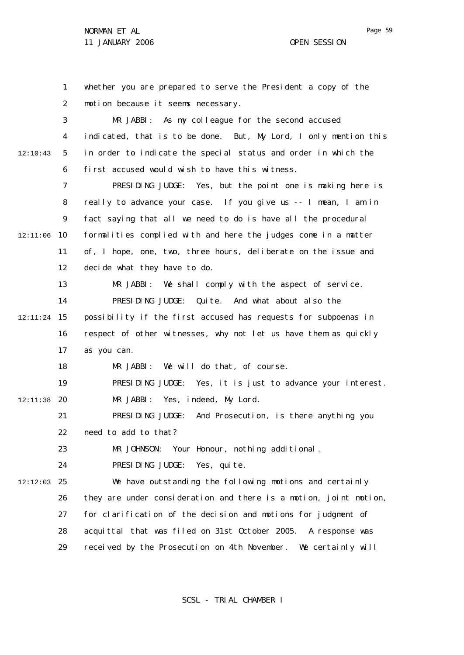1 2 3 4 5 6 7 8  $\mathsf{Q}$ 10 12:11:06 11 12 13 14 15 12:11:24 16 17 18 19 20 12:11:38 21 22 23 24 25 12:12:03 26 27 28 29 12:10:43 whether you are prepared to serve the President a copy of the motion because it seems necessary. MR JABBI: As my colleague for the second accused indicated, that is to be done. But, My Lord, I only mention this in order to indicate the special status and order in which the first accused would wish to have this witness. PRESIDING JUDGE: Yes, but the point one is making here is really to advance your case. If you give us -- I mean, I am in fact saying that all we need to do is have all the procedural formalities complied with and here the judges come in a matter of, I hope, one, two, three hours, deliberate on the issue and decide what they have to do. MR JABBI: We shall comply with the aspect of service. PRESIDING JUDGE: Quite. And what about also the possibility if the first accused has requests for subpoenas in respect of other witnesses, why not let us have them as quickly as you can. MR JABBI: We will do that, of course. PRESIDING JUDGE: Yes, it is just to advance your interest. MR JABBI: Yes, indeed, My Lord. PRESIDING JUDGE: And Prosecution, is there anything you need to add to that? MR JOHNSON: Your Honour, nothing additional. PRESIDING JUDGE: Yes, quite. We have outstanding the following motions and certainly they are under consideration and there is a motion, joint motion, for clarification of the decision and motions for judgment of acquittal that was filed on 31st October 2005. A response was received by the Prosecution on 4th November. We certainly will

SCSL - TRIAL CHAMBER I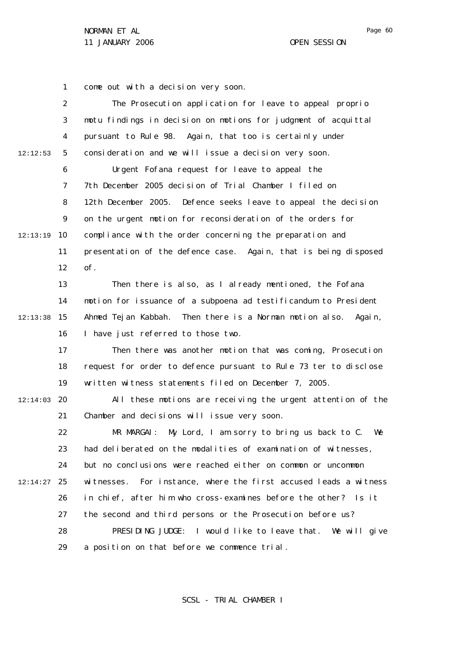NORMAN ET AL

1 come out with a decision very soon.

|          | $\overline{2}$ | The Prosecution application for leave to appeal proprio           |
|----------|----------------|-------------------------------------------------------------------|
|          | 3              | motu findings in decision on motions for judgment of acquittal    |
|          | 4              | pursuant to Rule 98. Again, that too is certainly under           |
| 12:12:53 | 5              | consideration and we will issue a decision very soon.             |
|          | 6              | Urgent Fofana request for leave to appeal the                     |
|          | $\overline{7}$ | 7th December 2005 decision of Trial Chamber I filed on            |
|          | 8              | 12th December 2005. Defence seeks leave to appeal the decision    |
|          | 9              | on the urgent motion for reconsideration of the orders for        |
| 12:13:19 | 10             | compliance with the order concerning the preparation and          |
|          | 11             | presentation of the defence case. Again, that is being disposed   |
|          | 12             | of.                                                               |
|          | 13             | Then there is also, as I already mentioned, the Fofana            |
|          | 14             | motion for issuance of a subpoena ad testificandum to President   |
| 12:13:38 | 15             | Ahmed Tejan Kabbah. Then there is a Norman motion also.<br>Again, |
|          | 16             | I have just referred to those two.                                |
|          | 17             | Then there was another motion that was coming, Prosecution        |
|          | 18             | request for order to defence pursuant to Rule 73 ter to disclose  |
|          | 19             | written witness statements filed on December 7, 2005.             |
| 12:14:03 | 20             | All these motions are receiving the urgent attention of the       |
|          | 21             | Chamber and decisions will issue very soon.                       |
|          | 22             | MR MARGAI:<br>My Lord, I am sorry to bring us back to C.<br>We    |
|          | 23             | had deliberated on the modalities of examination of witnesses,    |
|          | 24             | but no conclusions were reached either on common or uncommon      |
| 12:14:27 | 25             | witnesses. For instance, where the first accused leads a witness  |
|          | 26             | in chief, after him who cross-examines before the other? Is it    |
|          | 27             | the second and third persons or the Prosecution before us?        |
|          | 28             | PRESIDING JUDGE: I would like to leave that. We will give         |
|          | 29             | a position on that before we commence trial.                      |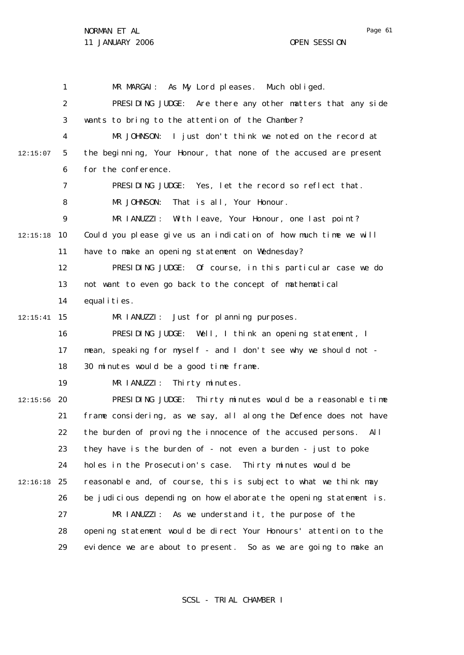1 2 3 4 5 6 7 8  $\mathsf{Q}$ 10 12:15:18 11 12 13 14 15 12:15:41 16 17 18 19 20 12:15:56 21 22 23 24 25 12:16:18 26 27 28 29 12:15:07 MR MARGAI: As My Lord pleases. Much obliged. PRESIDING JUDGE: Are there any other matters that any side wants to bring to the attention of the Chamber? MR JOHNSON: I just don't think we noted on the record at the beginning, Your Honour, that none of the accused are present for the conference. PRESIDING JUDGE: Yes, let the record so reflect that. MR JOHNSON: That is all, Your Honour. MR IANUZZI: With leave, Your Honour, one last point? Could you please give us an indication of how much time we will have to make an opening statement on Wednesday? PRESIDING JUDGE: Of course, in this particular case we do not want to even go back to the concept of mathematical equal i ties. MR IANUZZI: Just for planning purposes. PRESIDING JUDGE: Well, I think an opening statement, I mean, speaking for myself - and I don't see why we should not -30 minutes would be a good time frame. MR IANUZZI: Thirty minutes. PRESIDING JUDGE: Thirty minutes would be a reasonable time frame considering, as we say, all along the Defence does not have the burden of proving the innocence of the accused persons. All they have is the burden of - not even a burden - just to poke holes in the Prosecution's case. Thirty minutes would be reasonable and, of course, this is subject to what we think may be judicious depending on how elaborate the opening statement is. MR IANUZZI: As we understand it, the purpose of the opening statement would be direct Your Honours' attention to the evidence we are about to present. So as we are going to make an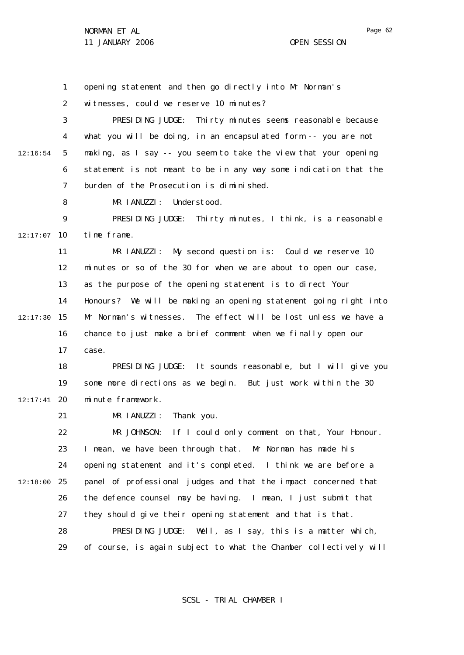1 opening statement and then go directly into Mr Norman's

2 witnesses, could we reserve 10 minutes?

3 4 5 6 7 12:16:54 PRESIDING JUDGE: Thirty minutes seems reasonable because what you will be doing, in an encapsulated form -- you are not making, as I say -- you seem to take the view that your opening statement is not meant to be in any way some indication that the burden of the Prosecution is diminished.

> 8 MR IANUZZI: Understood.

 $\mathsf{Q}$ 10 12:17:07 PRESIDING JUDGE: Thirty minutes, I think, is a reasonable time frame.

11 12 13 14 15 12:17:30 16 17 MR IANUZZI: My second question is: Could we reserve 10 minutes or so of the 30 for when we are about to open our case, as the purpose of the opening statement is to direct Your Honours? We will be making an opening statement going right into Mr Norman's witnesses. The effect will be lost unless we have a chance to just make a brief comment when we finally open our case.

18 19 20 12:17:41 PRESIDING JUDGE: It sounds reasonable, but I will give you some more directions as we begin. But just work within the 30 minute framework.

> 21 MR I ANUZZI: Thank you.

22 23 24 25 12:18:00 26 27 28 29 MR JOHNSON: If I could only comment on that, Your Honour. I mean, we have been through that. Mr Norman has made his opening statement and it's completed. I think we are before a panel of professional judges and that the impact concerned that the defence counsel may be having. I mean, I just submit that they should give their opening statement and that is that. PRESIDING JUDGE: Well, as I say, this is a matter which, of course, is again subject to what the Chamber collectively will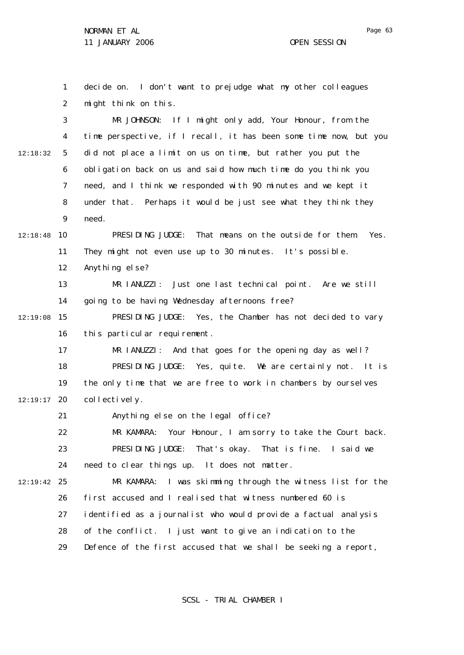1 2 3 4 5 6 7 8  $\mathsf{Q}$ 10 12:18:48 11 12 13 14 15 12:19:08 16 17 18 19 12:19:17 20 21 22 23 24 25 12:19:42 26 27 28 29 12:18:32 decide on. I don't want to prejudge what my other colleagues might think on this. MR JOHNSON: If I might only add, Your Honour, from the time perspective, if I recall, it has been some time now, but you did not place a limit on us on time, but rather you put the obligation back on us and said how much time do you think you need, and I think we responded with 90 minutes and we kept it under that. Perhaps it would be just see what they think they need. PRESIDING JUDGE: That means on the outside for them. Yes. They might not even use up to 30 minutes. It's possible. Anything else? MR IANUZZI: Just one last technical point. Are we still going to be having Wednesday afternoons free? PRESIDING JUDGE: Yes, the Chamber has not decided to vary this particular requirement. MR IANUZZI: And that goes for the opening day as well? PRESIDING JUDGE: Yes, quite. We are certainly not. It is the only time that we are free to work in chambers by ourselves collectively. Anything else on the legal office? MR KAMARA: Your Honour, I am sorry to take the Court back. PRESIDING JUDGE: That's okay. That is fine. I said we need to clear things up. It does not matter. MR KAMARA: I was skimming through the witness list for the first accused and I realised that witness numbered 60 is identified as a journalist who would provide a factual analysis of the conflict. I just want to give an indication to the Defence of the first accused that we shall be seeking a report,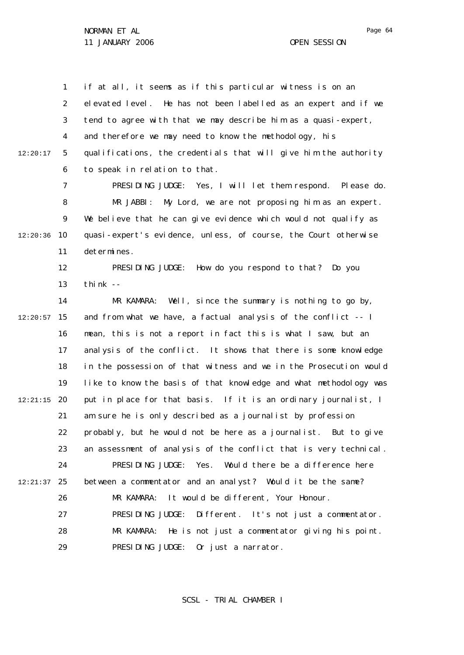Page 64

1 2 3 4 5 6 12:20:17 if at all, it seems as if this particular witness is on an elevated level. He has not been labelled as an expert and if we tend to agree with that we may describe him as a quasi-expert, and therefore we may need to know the methodology, his qualifications, the credentials that will give him the authority to speak in relation to that.

7 8  $\mathsf{Q}$ 10 12:20:36 11 PRESIDING JUDGE: Yes, I will let them respond. Please do. MR JABBI: My Lord, we are not proposing him as an expert. We believe that he can give evidence which would not qualify as quasi-expert's evidence, unless, of course, the Court otherwise determines.

> 12 13 PRESIDING JUDGE: How do you respond to that? Do you think  $-$

14 15 12:20:57 16 17 18 19 20 12:21:15 21 22 23 24 25 12:21:37 26 27 28 29 MR KAMARA: Well, since the summary is nothing to go by, and from what we have, a factual analysis of the conflict -- I mean, this is not a report in fact this is what I saw, but an analysis of the conflict. It shows that there is some knowledge in the possession of that witness and we in the Prosecution would like to know the basis of that knowledge and what methodology was put in place for that basis. If it is an ordinary journalist, I am sure he is only described as a journalist by profession probably, but he would not be here as a journalist. But to give an assessment of analysis of the conflict that is very technical. PRESIDING JUDGE: Yes. Would there be a difference here between a commentator and an analyst? Would it be the same? MR KAMARA: It would be different, Your Honour. PRESIDING JUDGE: Different. It's not just a commentator. MR KAMARA: He is not just a commentator giving his point. PRESIDING JUDGE: Or just a narrator.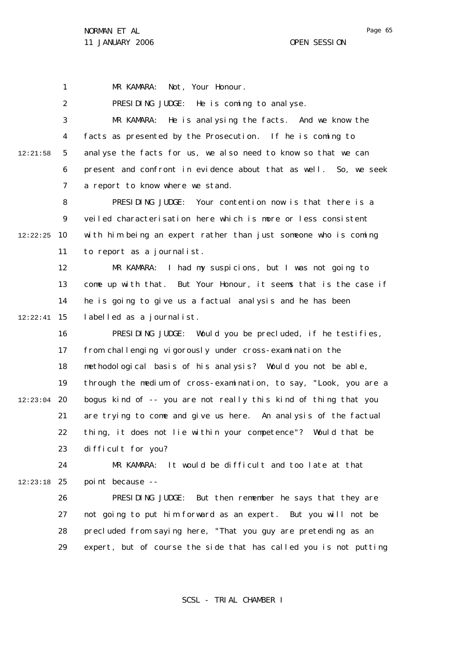1 MR KAMARA: Not, Your Honour.

2 PRESIDING JUDGE: He is coming to analyse.

3 4 5 6 7 12:21:58 MR KAMARA: He is analysing the facts. And we know the facts as presented by the Prosecution. If he is coming to analyse the facts for us, we also need to know so that we can present and confront in evidence about that as well. So, we seek a report to know where we stand.

8  $\mathsf{Q}$ 10 12:22:25 11 PRESIDING JUDGE: Your contention now is that there is a veiled characterisation here which is more or less consistent with him being an expert rather than just someone who is coming to report as a journalist.

12 13 14 15 12:22:41 MR KAMARA: I had my suspicions, but I was not going to come up with that. But Your Honour, it seems that is the case if he is going to give us a factual analysis and he has been labelled as a journalist.

16 17 18 19 12:23:04 20 21 22 23 PRESIDING JUDGE: Would you be precluded, if he testifies, from challenging vigorously under cross-examination the methodological basis of his analysis? Would you not be able, through the medium of cross-examination, to say, "Look, you are a bogus kind of -- you are not really this kind of thing that you are trying to come and give us here. An analysis of the factual thing, it does not lie within your competence"? Would that be difficult for you?

24 25 12:23:18 MR KAMARA: It would be difficult and too late at that point because --

> 26 27 28 29 PRESIDING JUDGE: But then remember he says that they are not going to put him forward as an expert. But you will not be precluded from saying here, "That you guy are pretending as an expert, but of course the side that has called you is not putting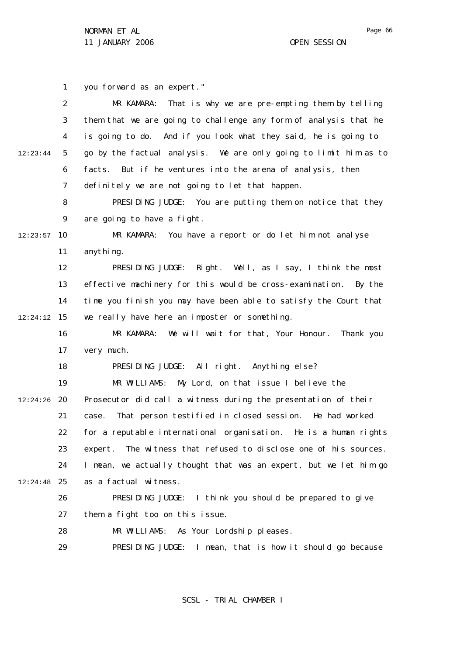Page 66

1 2 3 4 5 6 7 8  $\mathsf{Q}$ 10 12:23:57 11 12 13 14 15 12:24:12 16 17 18 19 20 12:24:26 21 22 23 24 25 12:24:48 26 27 28 29 12:23:44 you forward as an expert." MR KAMARA: That is why we are pre-empting them by telling them that we are going to challenge any form of analysis that he is going to do. And if you look what they said, he is going to go by the factual analysis. We are only going to limit him as to facts. But if he ventures into the arena of analysis, then definitely we are not going to let that happen. PRESIDING JUDGE: You are putting them on notice that they are going to have a fight. MR KAMARA: You have a report or do let him not analyse anything. PRESIDING JUDGE: Right. Well, as I say, I think the most effective machinery for this would be cross-examination. By the time you finish you may have been able to satisfy the Court that we really have here an imposter or something. MR KAMARA: We will wait for that, Your Honour. Thank you very much. PRESIDING JUDGE: All right. Anything else? MR WILLIAMS: My Lord, on that issue I believe the Prosecutor did call a witness during the presentation of their case. That person testified in closed session. He had worked for a reputable international organisation. He is a human rights expert. The witness that refused to disclose one of his sources. I mean, we actually thought that was an expert, but we let him go as a factual witness. PRESIDING JUDGE: I think you should be prepared to give them a fight too on this issue. MR WILLIAMS: As Your Lordship pleases. PRESIDING JUDGE: I mean, that is how it should go because